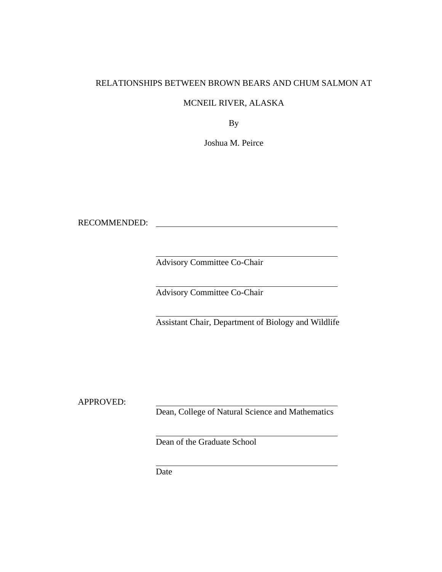#### RELATIONSHIPS BETWEEN BROWN BEARS AND CHUM SALMON AT

#### MCNEIL RIVER, ALASKA

By

Joshua M. Peirce

RECOMMENDED:

Advisory Committee Co-Chair

Advisory Committee Co-Chair

Assistant Chair, Department of Biology and Wildlife

APPROVED:

Dean, College of Natural Science and Mathematics

Dean of the Graduate School

Date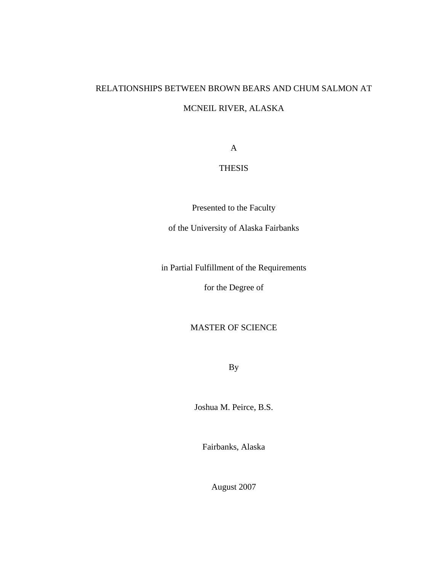# RELATIONSHIPS BETWEEN BROWN BEARS AND CHUM SALMON AT MCNEIL RIVER, ALASKA

A

## THESIS

Presented to the Faculty

of the University of Alaska Fairbanks

in Partial Fulfillment of the Requirements

for the Degree of

### MASTER OF SCIENCE

By

Joshua M. Peirce, B.S.

Fairbanks, Alaska

August 2007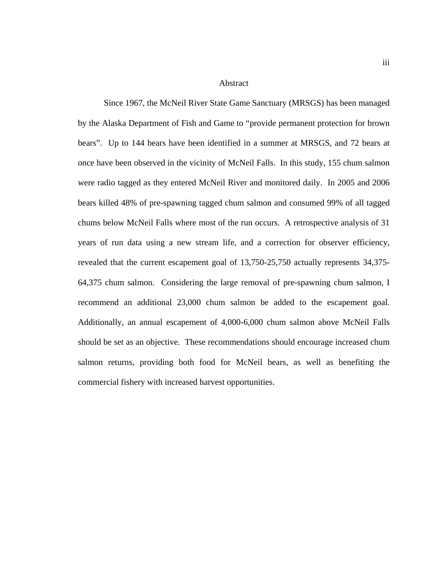#### Abstract

<span id="page-2-0"></span>Since 1967, the McNeil River State Game Sanctuary (MRSGS) has been managed by the Alaska Department of Fish and Game to "provide permanent protection for brown bears". Up to 144 bears have been identified in a summer at MRSGS, and 72 bears at once have been observed in the vicinity of McNeil Falls. In this study, 155 chum salmon were radio tagged as they entered McNeil River and monitored daily. In 2005 and 2006 bears killed 48% of pre-spawning tagged chum salmon and consumed 99% of all tagged chums below McNeil Falls where most of the run occurs. A retrospective analysis of 31 years of run data using a new stream life, and a correction for observer efficiency, revealed that the current escapement goal of 13,750-25,750 actually represents 34,375- 64,375 chum salmon. Considering the large removal of pre-spawning chum salmon, I recommend an additional 23,000 chum salmon be added to the escapement goal. Additionally, an annual escapement of 4,000-6,000 chum salmon above McNeil Falls should be set as an objective. These recommendations should encourage increased chum salmon returns, providing both food for McNeil bears, as well as benefiting the commercial fishery with increased harvest opportunities.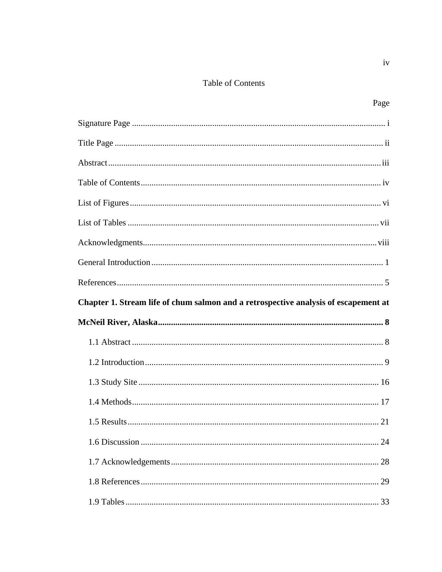### Table of Contents

<span id="page-3-0"></span>

|                                                                                     | Page |
|-------------------------------------------------------------------------------------|------|
|                                                                                     |      |
|                                                                                     |      |
|                                                                                     |      |
|                                                                                     |      |
|                                                                                     |      |
|                                                                                     |      |
|                                                                                     |      |
|                                                                                     |      |
|                                                                                     |      |
| Chapter 1. Stream life of chum salmon and a retrospective analysis of escapement at |      |
|                                                                                     |      |
|                                                                                     |      |
|                                                                                     |      |
|                                                                                     |      |
|                                                                                     |      |
|                                                                                     |      |
| $1.5$ Results                                                                       | 21   |
|                                                                                     |      |
|                                                                                     |      |
|                                                                                     |      |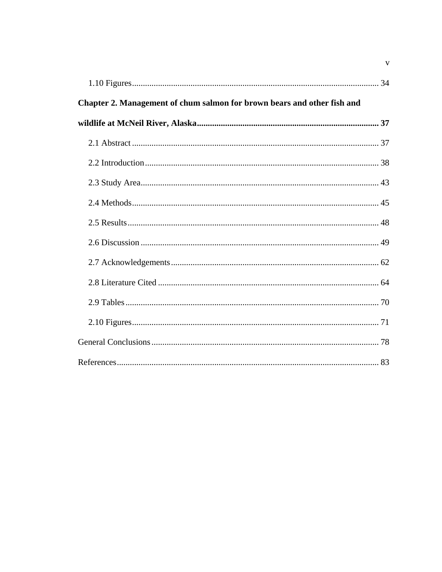| Chapter 2. Management of chum salmon for brown bears and other fish and |  |  |
|-------------------------------------------------------------------------|--|--|
|                                                                         |  |  |
|                                                                         |  |  |
|                                                                         |  |  |
|                                                                         |  |  |
|                                                                         |  |  |
|                                                                         |  |  |
|                                                                         |  |  |
|                                                                         |  |  |
|                                                                         |  |  |
|                                                                         |  |  |
|                                                                         |  |  |
|                                                                         |  |  |
|                                                                         |  |  |

 $\overline{\mathbf{v}}$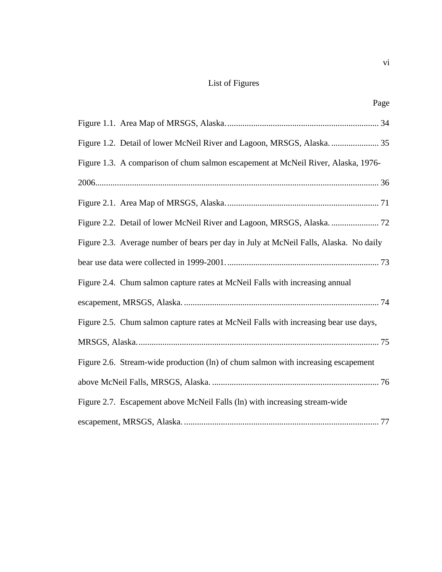## List of Figures

<span id="page-5-0"></span>

| Page                                                                                  |
|---------------------------------------------------------------------------------------|
|                                                                                       |
|                                                                                       |
| Figure 1.3. A comparison of chum salmon escapement at McNeil River, Alaska, 1976-     |
|                                                                                       |
|                                                                                       |
|                                                                                       |
| Figure 2.3. Average number of bears per day in July at McNeil Falls, Alaska. No daily |
|                                                                                       |
| Figure 2.4. Chum salmon capture rates at McNeil Falls with increasing annual          |
|                                                                                       |
| Figure 2.5. Chum salmon capture rates at McNeil Falls with increasing bear use days,  |
|                                                                                       |
| Figure 2.6. Stream-wide production (ln) of chum salmon with increasing escapement     |
|                                                                                       |
| Figure 2.7. Escapement above McNeil Falls (ln) with increasing stream-wide            |
|                                                                                       |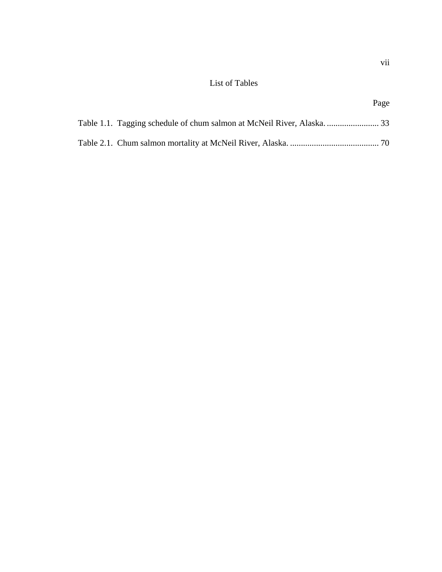## List of Tables

| I |
|---|
|---|

<span id="page-6-0"></span>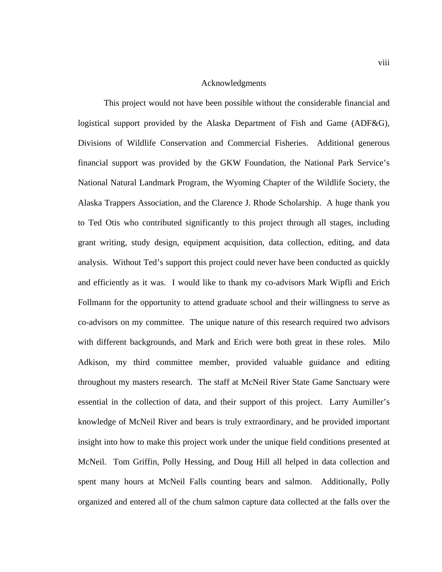#### Acknowledgments

<span id="page-7-0"></span>This project would not have been possible without the considerable financial and logistical support provided by the Alaska Department of Fish and Game (ADF&G), Divisions of Wildlife Conservation and Commercial Fisheries. Additional generous financial support was provided by the GKW Foundation, the National Park Service's National Natural Landmark Program, the Wyoming Chapter of the Wildlife Society, the Alaska Trappers Association, and the Clarence J. Rhode Scholarship. A huge thank you to Ted Otis who contributed significantly to this project through all stages, including grant writing, study design, equipment acquisition, data collection, editing, and data analysis. Without Ted's support this project could never have been conducted as quickly and efficiently as it was. I would like to thank my co-advisors Mark Wipfli and Erich Follmann for the opportunity to attend graduate school and their willingness to serve as co-advisors on my committee. The unique nature of this research required two advisors with different backgrounds, and Mark and Erich were both great in these roles. Milo Adkison, my third committee member, provided valuable guidance and editing throughout my masters research. The staff at McNeil River State Game Sanctuary were essential in the collection of data, and their support of this project. Larry Aumiller's knowledge of McNeil River and bears is truly extraordinary, and he provided important insight into how to make this project work under the unique field conditions presented at McNeil. Tom Griffin, Polly Hessing, and Doug Hill all helped in data collection and spent many hours at McNeil Falls counting bears and salmon. Additionally, Polly organized and entered all of the chum salmon capture data collected at the falls over the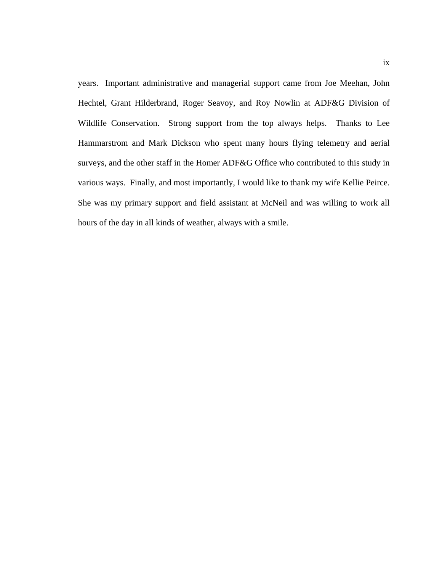years. Important administrative and managerial support came from Joe Meehan, John Hechtel, Grant Hilderbrand, Roger Seavoy, and Roy Nowlin at ADF&G Division of Wildlife Conservation. Strong support from the top always helps. Thanks to Lee Hammarstrom and Mark Dickson who spent many hours flying telemetry and aerial surveys, and the other staff in the Homer ADF&G Office who contributed to this study in various ways. Finally, and most importantly, I would like to thank my wife Kellie Peirce. She was my primary support and field assistant at McNeil and was willing to work all hours of the day in all kinds of weather, always with a smile.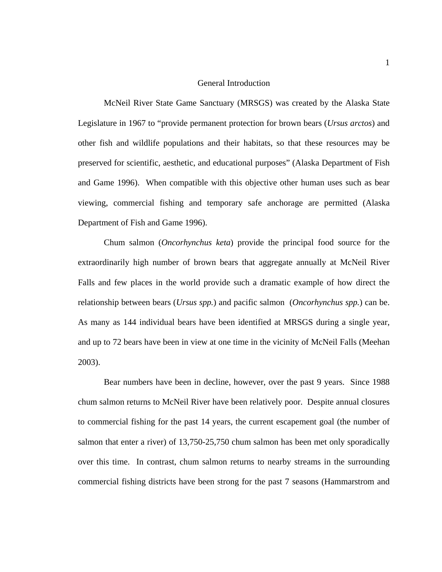#### General Introduction

<span id="page-9-0"></span>McNeil River State Game Sanctuary (MRSGS) was created by the Alaska State Legislature in 1967 to "provide permanent protection for brown bears (*Ursus arctos*) and other fish and wildlife populations and their habitats, so that these resources may be preserved for scientific, aesthetic, and educational purposes" (Alaska Department of Fish and Game 1996). When compatible with this objective other human uses such as bear viewing, commercial fishing and temporary safe anchorage are permitted (Alaska Department of Fish and Game 1996).

Chum salmon (*Oncorhynchus keta*) provide the principal food source for the extraordinarily high number of brown bears that aggregate annually at McNeil River Falls and few places in the world provide such a dramatic example of how direct the relationship between bears (*Ursus spp.*) and pacific salmon (*Oncorhynchus spp.*) can be. As many as 144 individual bears have been identified at MRSGS during a single year, and up to 72 bears have been in view at one time in the vicinity of McNeil Falls (Meehan 2003).

Bear numbers have been in decline, however, over the past 9 years. Since 1988 chum salmon returns to McNeil River have been relatively poor. Despite annual closures to commercial fishing for the past 14 years, the current escapement goal (the number of salmon that enter a river) of 13,750-25,750 chum salmon has been met only sporadically over this time. In contrast, chum salmon returns to nearby streams in the surrounding commercial fishing districts have been strong for the past 7 seasons (Hammarstrom and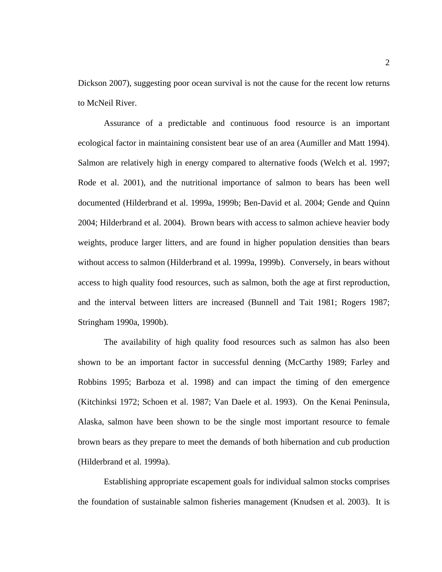Dickson 2007), suggesting poor ocean survival is not the cause for the recent low returns to McNeil River.

Assurance of a predictable and continuous food resource is an important ecological factor in maintaining consistent bear use of an area (Aumiller and Matt 1994). Salmon are relatively high in energy compared to alternative foods (Welch et al. 1997; Rode et al. 2001), and the nutritional importance of salmon to bears has been well documented (Hilderbrand et al. 1999a, 1999b; Ben-David et al. 2004; Gende and Quinn 2004; Hilderbrand et al. 2004). Brown bears with access to salmon achieve heavier body weights, produce larger litters, and are found in higher population densities than bears without access to salmon (Hilderbrand et al. 1999a, 1999b). Conversely, in bears without access to high quality food resources, such as salmon, both the age at first reproduction, and the interval between litters are increased (Bunnell and Tait 1981; Rogers 1987; Stringham 1990a, 1990b).

The availability of high quality food resources such as salmon has also been shown to be an important factor in successful denning (McCarthy 1989; Farley and Robbins 1995; Barboza et al. 1998) and can impact the timing of den emergence (Kitchinksi 1972; Schoen et al. 1987; Van Daele et al. 1993). On the Kenai Peninsula, Alaska, salmon have been shown to be the single most important resource to female brown bears as they prepare to meet the demands of both hibernation and cub production (Hilderbrand et al. 1999a).

Establishing appropriate escapement goals for individual salmon stocks comprises the foundation of sustainable salmon fisheries management (Knudsen et al. 2003). It is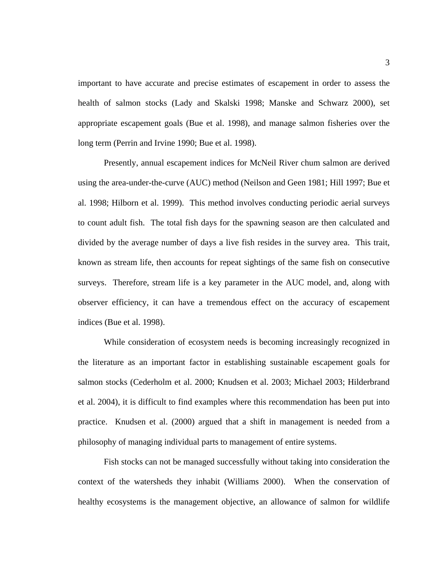important to have accurate and precise estimates of escapement in order to assess the health of salmon stocks (Lady and Skalski 1998; Manske and Schwarz 2000), set appropriate escapement goals (Bue et al. 1998), and manage salmon fisheries over the long term (Perrin and Irvine 1990; Bue et al. 1998).

Presently, annual escapement indices for McNeil River chum salmon are derived using the area-under-the-curve (AUC) method (Neilson and Geen 1981; Hill 1997; Bue et al. 1998; Hilborn et al. 1999). This method involves conducting periodic aerial surveys to count adult fish. The total fish days for the spawning season are then calculated and divided by the average number of days a live fish resides in the survey area. This trait, known as stream life, then accounts for repeat sightings of the same fish on consecutive surveys. Therefore, stream life is a key parameter in the AUC model, and, along with observer efficiency, it can have a tremendous effect on the accuracy of escapement indices (Bue et al. 1998).

While consideration of ecosystem needs is becoming increasingly recognized in the literature as an important factor in establishing sustainable escapement goals for salmon stocks (Cederholm et al. 2000; Knudsen et al. 2003; Michael 2003; Hilderbrand et al. 2004), it is difficult to find examples where this recommendation has been put into practice. Knudsen et al. (2000) argued that a shift in management is needed from a philosophy of managing individual parts to management of entire systems.

Fish stocks can not be managed successfully without taking into consideration the context of the watersheds they inhabit (Williams 2000). When the conservation of healthy ecosystems is the management objective, an allowance of salmon for wildlife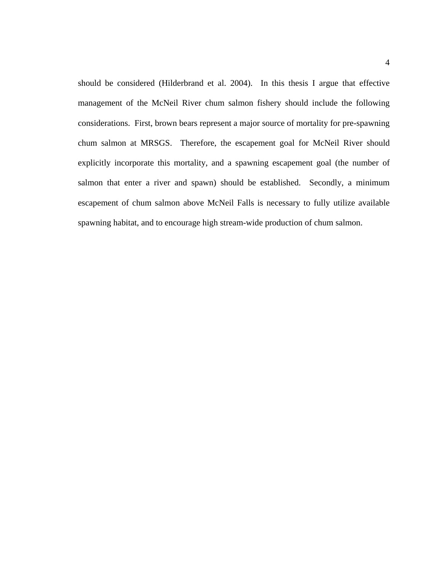should be considered (Hilderbrand et al. 2004). In this thesis I argue that effective management of the McNeil River chum salmon fishery should include the following considerations. First, brown bears represent a major source of mortality for pre-spawning chum salmon at MRSGS. Therefore, the escapement goal for McNeil River should explicitly incorporate this mortality, and a spawning escapement goal (the number of salmon that enter a river and spawn) should be established. Secondly, a minimum escapement of chum salmon above McNeil Falls is necessary to fully utilize available spawning habitat, and to encourage high stream-wide production of chum salmon.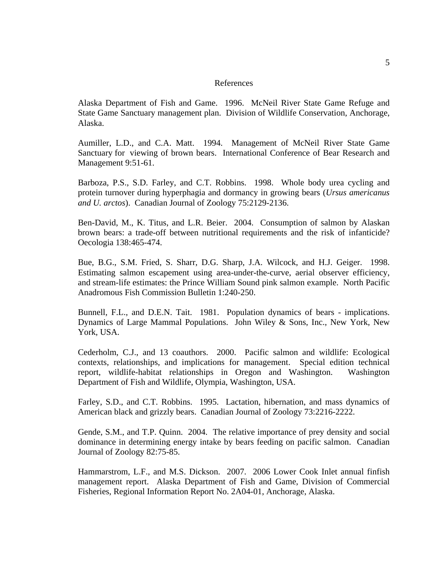#### References

<span id="page-13-0"></span>Alaska Department of Fish and Game. 1996. McNeil River State Game Refuge and State Game Sanctuary management plan. Division of Wildlife Conservation, Anchorage, Alaska.

Aumiller, L.D., and C.A. Matt. 1994. Management of McNeil River State Game Sanctuary for viewing of brown bears. International Conference of Bear Research and Management 9:51-61.

Barboza, P.S., S.D. Farley, and C.T. Robbins. 1998. Whole body urea cycling and protein turnover during hyperphagia and dormancy in growing bears (*Ursus americanus and U. arctos*). Canadian Journal of Zoology 75:2129-2136.

Ben-David, M., K. Titus, and L.R. Beier. 2004. Consumption of salmon by Alaskan brown bears: a trade-off between nutritional requirements and the risk of infanticide? Oecologia 138:465-474.

Bue, B.G., S.M. Fried, S. Sharr, D.G. Sharp, J.A. Wilcock, and H.J. Geiger. 1998. Estimating salmon escapement using area-under-the-curve, aerial observer efficiency, and stream-life estimates: the Prince William Sound pink salmon example. North Pacific Anadromous Fish Commission Bulletin 1:240-250.

Bunnell, F.L., and D.E.N. Tait. 1981. Population dynamics of bears - implications. Dynamics of Large Mammal Populations. John Wiley & Sons, Inc., New York, New York, USA.

Cederholm, C.J., and 13 coauthors. 2000. Pacific salmon and wildlife: Ecological contexts, relationships, and implications for management. Special edition technical report, wildlife-habitat relationships in Oregon and Washington. Washington Department of Fish and Wildlife, Olympia, Washington, USA.

Farley, S.D., and C.T. Robbins. 1995. Lactation, hibernation, and mass dynamics of American black and grizzly bears. Canadian Journal of Zoology 73:2216-2222.

Gende, S.M., and T.P. Quinn. 2004. The relative importance of prey density and social dominance in determining energy intake by bears feeding on pacific salmon. Canadian Journal of Zoology 82:75-85.

Hammarstrom, L.F., and M.S. Dickson. 2007. 2006 Lower Cook Inlet annual finfish management report. Alaska Department of Fish and Game, Division of Commercial Fisheries, Regional Information Report No. 2A04-01, Anchorage, Alaska.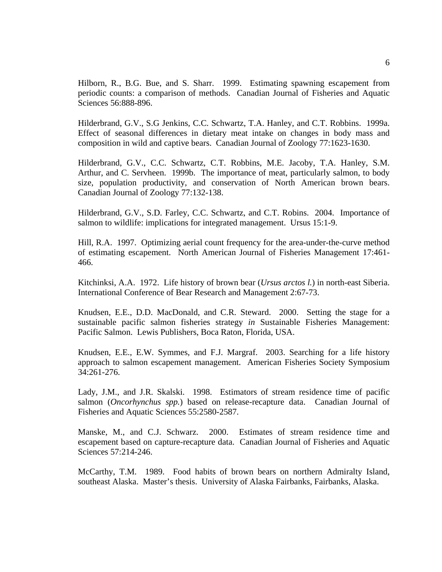Hilborn, R., B.G. Bue, and S. Sharr. 1999. Estimating spawning escapement from periodic counts: a comparison of methods. Canadian Journal of Fisheries and Aquatic Sciences 56:888-896.

Hilderbrand, G.V., S.G Jenkins, C.C. Schwartz, T.A. Hanley, and C.T. Robbins. 1999a. Effect of seasonal differences in dietary meat intake on changes in body mass and composition in wild and captive bears. Canadian Journal of Zoology 77:1623-1630.

Hilderbrand, G.V., C.C. Schwartz, C.T. Robbins, M.E. Jacoby, T.A. Hanley, S.M. Arthur, and C. Servheen. 1999b. The importance of meat, particularly salmon, to body size, population productivity, and conservation of North American brown bears. Canadian Journal of Zoology 77:132-138.

Hilderbrand, G.V., S.D. Farley, C.C. Schwartz, and C.T. Robins. 2004. Importance of salmon to wildlife: implications for integrated management. Ursus 15:1-9.

Hill, R.A. 1997. Optimizing aerial count frequency for the area-under-the-curve method of estimating escapement. North American Journal of Fisheries Management 17:461- 466.

Kitchinksi, A.A. 1972. Life history of brown bear (*Ursus arctos l.*) in north-east Siberia. International Conference of Bear Research and Management 2:67-73.

Knudsen, E.E., D.D. MacDonald, and C.R. Steward. 2000. Setting the stage for a sustainable pacific salmon fisheries strategy *in* Sustainable Fisheries Management: Pacific Salmon. Lewis Publishers, Boca Raton, Florida, USA.

Knudsen, E.E., E.W. Symmes, and F.J. Margraf. 2003. Searching for a life history approach to salmon escapement management. American Fisheries Society Symposium 34:261-276.

Lady, J.M., and J.R. Skalski. 1998. Estimators of stream residence time of pacific salmon (*Oncorhynchus spp.*) based on release-recapture data. Canadian Journal of Fisheries and Aquatic Sciences 55:2580-2587.

Manske, M., and C.J. Schwarz. 2000. Estimates of stream residence time and escapement based on capture-recapture data. Canadian Journal of Fisheries and Aquatic Sciences 57:214-246.

McCarthy, T.M. 1989. Food habits of brown bears on northern Admiralty Island, southeast Alaska. Master's thesis. University of Alaska Fairbanks, Fairbanks, Alaska.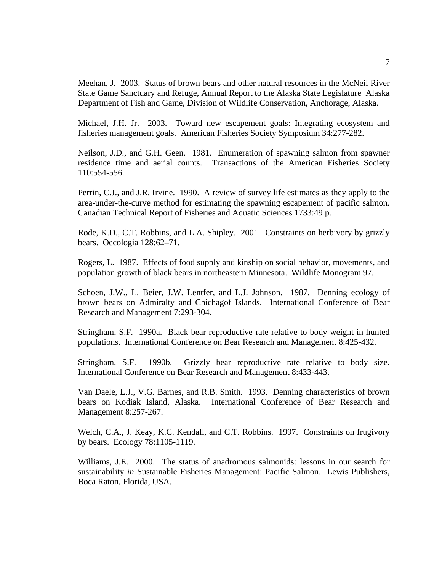Meehan, J. 2003. Status of brown bears and other natural resources in the McNeil River State Game Sanctuary and Refuge, Annual Report to the Alaska State Legislature Alaska Department of Fish and Game, Division of Wildlife Conservation, Anchorage, Alaska.

Michael, J.H. Jr. 2003. Toward new escapement goals: Integrating ecosystem and fisheries management goals. American Fisheries Society Symposium 34:277-282.

Neilson, J.D., and G.H. Geen. 1981. Enumeration of spawning salmon from spawner residence time and aerial counts. Transactions of the American Fisheries Society 110:554-556.

Perrin, C.J., and J.R. Irvine. 1990. A review of survey life estimates as they apply to the area-under-the-curve method for estimating the spawning escapement of pacific salmon. Canadian Technical Report of Fisheries and Aquatic Sciences 1733:49 p.

Rode, K.D., C.T. Robbins, and L.A. Shipley. 2001. Constraints on herbivory by grizzly bears. Oecologia 128:62–71.

Rogers, L. 1987. Effects of food supply and kinship on social behavior, movements, and population growth of black bears in northeastern Minnesota. Wildlife Monogram 97.

Schoen, J.W., L. Beier, J.W. Lentfer, and L.J. Johnson. 1987. Denning ecology of brown bears on Admiralty and Chichagof Islands. International Conference of Bear Research and Management 7:293-304.

Stringham, S.F. 1990a. Black bear reproductive rate relative to body weight in hunted populations. International Conference on Bear Research and Management 8:425-432.

Stringham, S.F. 1990b. Grizzly bear reproductive rate relative to body size. International Conference on Bear Research and Management 8:433-443.

Van Daele, L.J., V.G. Barnes, and R.B. Smith. 1993. Denning characteristics of brown bears on Kodiak Island, Alaska. International Conference of Bear Research and Management 8:257-267.

Welch, C.A., J. Keay, K.C. Kendall, and C.T. Robbins. 1997. Constraints on frugivory by bears. Ecology 78:1105-1119.

Williams, J.E. 2000. The status of anadromous salmonids: lessons in our search for sustainability *in* Sustainable Fisheries Management: Pacific Salmon. Lewis Publishers, Boca Raton, Florida, USA.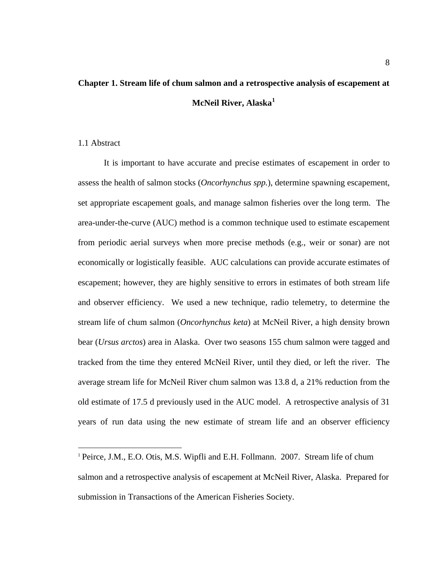# <span id="page-16-0"></span>**Chapter 1. Stream life of chum salmon and a retrospective analysis of escapement at McNeil River, Alaska[1](#page-16-1)**

#### 1.1 Abstract

 $\overline{a}$ 

It is important to have accurate and precise estimates of escapement in order to assess the health of salmon stocks (*Oncorhynchus spp.*), determine spawning escapement, set appropriate escapement goals, and manage salmon fisheries over the long term. The area-under-the-curve (AUC) method is a common technique used to estimate escapement from periodic aerial surveys when more precise methods (e.g., weir or sonar) are not economically or logistically feasible. AUC calculations can provide accurate estimates of escapement; however, they are highly sensitive to errors in estimates of both stream life and observer efficiency. We used a new technique, radio telemetry, to determine the stream life of chum salmon (*Oncorhynchus keta*) at McNeil River, a high density brown bear (*Ursus arctos*) area in Alaska. Over two seasons 155 chum salmon were tagged and tracked from the time they entered McNeil River, until they died, or left the river. The average stream life for McNeil River chum salmon was 13.8 d, a 21% reduction from the old estimate of 17.5 d previously used in the AUC model. A retrospective analysis of 31 years of run data using the new estimate of stream life and an observer efficiency

<span id="page-16-1"></span><sup>&</sup>lt;sup>1</sup> Peirce, J.M., E.O. Otis, M.S. Wipfli and E.H. Follmann. 2007. Stream life of chum salmon and a retrospective analysis of escapement at McNeil River, Alaska. Prepared for submission in Transactions of the American Fisheries Society.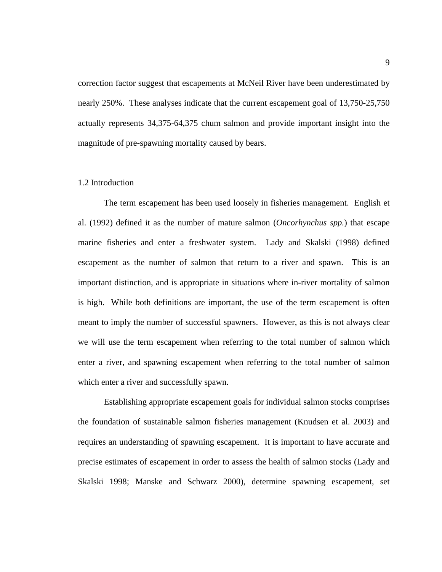<span id="page-17-0"></span>correction factor suggest that escapements at McNeil River have been underestimated by nearly 250%. These analyses indicate that the current escapement goal of 13,750-25,750 actually represents 34,375-64,375 chum salmon and provide important insight into the magnitude of pre-spawning mortality caused by bears.

#### 1.2 Introduction

The term escapement has been used loosely in fisheries management. English et al. (1992) defined it as the number of mature salmon (*Oncorhynchus spp.*) that escape marine fisheries and enter a freshwater system. Lady and Skalski (1998) defined escapement as the number of salmon that return to a river and spawn. This is an important distinction, and is appropriate in situations where in-river mortality of salmon is high. While both definitions are important, the use of the term escapement is often meant to imply the number of successful spawners. However, as this is not always clear we will use the term escapement when referring to the total number of salmon which enter a river, and spawning escapement when referring to the total number of salmon which enter a river and successfully spawn.

Establishing appropriate escapement goals for individual salmon stocks comprises the foundation of sustainable salmon fisheries management (Knudsen et al. 2003) and requires an understanding of spawning escapement. It is important to have accurate and precise estimates of escapement in order to assess the health of salmon stocks (Lady and Skalski 1998; Manske and Schwarz 2000), determine spawning escapement, set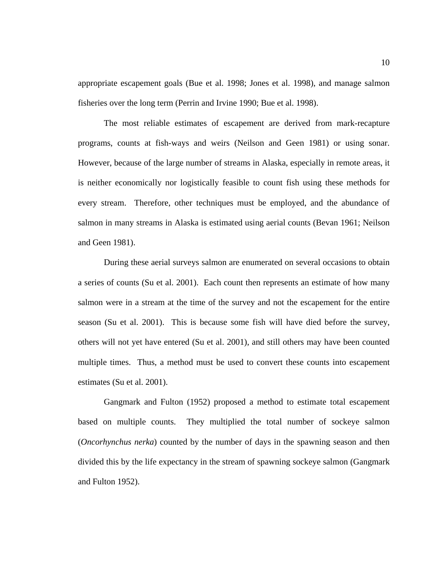appropriate escapement goals (Bue et al. 1998; Jones et al. 1998), and manage salmon fisheries over the long term (Perrin and Irvine 1990; Bue et al. 1998).

The most reliable estimates of escapement are derived from mark-recapture programs, counts at fish-ways and weirs (Neilson and Geen 1981) or using sonar. However, because of the large number of streams in Alaska, especially in remote areas, it is neither economically nor logistically feasible to count fish using these methods for every stream. Therefore, other techniques must be employed, and the abundance of salmon in many streams in Alaska is estimated using aerial counts (Bevan 1961; Neilson and Geen 1981).

During these aerial surveys salmon are enumerated on several occasions to obtain a series of counts (Su et al. 2001). Each count then represents an estimate of how many salmon were in a stream at the time of the survey and not the escapement for the entire season (Su et al. 2001). This is because some fish will have died before the survey, others will not yet have entered (Su et al. 2001), and still others may have been counted multiple times. Thus, a method must be used to convert these counts into escapement estimates (Su et al. 2001).

Gangmark and Fulton (1952) proposed a method to estimate total escapement based on multiple counts. They multiplied the total number of sockeye salmon (*Oncorhynchus nerka*) counted by the number of days in the spawning season and then divided this by the life expectancy in the stream of spawning sockeye salmon (Gangmark and Fulton 1952).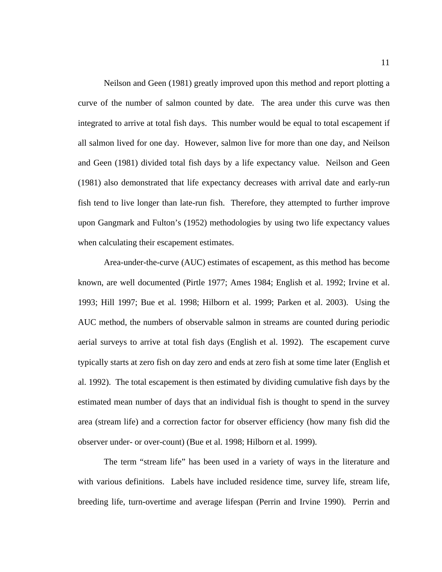Neilson and Geen (1981) greatly improved upon this method and report plotting a curve of the number of salmon counted by date. The area under this curve was then integrated to arrive at total fish days. This number would be equal to total escapement if all salmon lived for one day. However, salmon live for more than one day, and Neilson and Geen (1981) divided total fish days by a life expectancy value. Neilson and Geen (1981) also demonstrated that life expectancy decreases with arrival date and early-run fish tend to live longer than late-run fish. Therefore, they attempted to further improve upon Gangmark and Fulton's (1952) methodologies by using two life expectancy values when calculating their escapement estimates.

Area-under-the-curve (AUC) estimates of escapement, as this method has become known, are well documented (Pirtle 1977; Ames 1984; English et al. 1992; Irvine et al. 1993; Hill 1997; Bue et al. 1998; Hilborn et al. 1999; Parken et al. 2003). Using the AUC method, the numbers of observable salmon in streams are counted during periodic aerial surveys to arrive at total fish days (English et al. 1992). The escapement curve typically starts at zero fish on day zero and ends at zero fish at some time later (English et al. 1992). The total escapement is then estimated by dividing cumulative fish days by the estimated mean number of days that an individual fish is thought to spend in the survey area (stream life) and a correction factor for observer efficiency (how many fish did the observer under- or over-count) (Bue et al. 1998; Hilborn et al. 1999).

The term "stream life" has been used in a variety of ways in the literature and with various definitions. Labels have included residence time, survey life, stream life, breeding life, turn-overtime and average lifespan (Perrin and Irvine 1990). Perrin and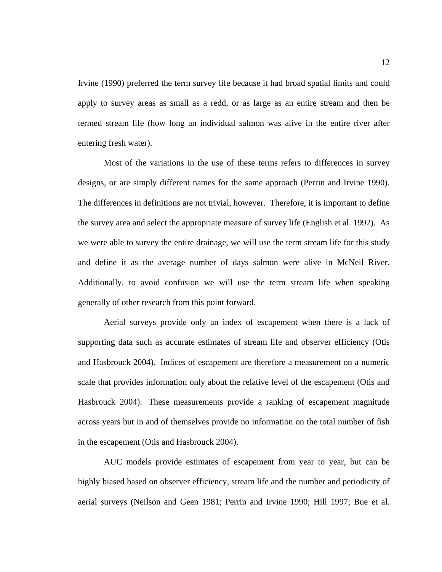Irvine (1990) preferred the term survey life because it had broad spatial limits and could apply to survey areas as small as a redd, or as large as an entire stream and then be termed stream life (how long an individual salmon was alive in the entire river after entering fresh water).

Most of the variations in the use of these terms refers to differences in survey designs, or are simply different names for the same approach (Perrin and Irvine 1990). The differences in definitions are not trivial, however. Therefore, it is important to define the survey area and select the appropriate measure of survey life (English et al. 1992). As we were able to survey the entire drainage, we will use the term stream life for this study and define it as the average number of days salmon were alive in McNeil River. Additionally, to avoid confusion we will use the term stream life when speaking generally of other research from this point forward.

Aerial surveys provide only an index of escapement when there is a lack of supporting data such as accurate estimates of stream life and observer efficiency (Otis and Hasbrouck 2004). Indices of escapement are therefore a measurement on a numeric scale that provides information only about the relative level of the escapement (Otis and Hasbrouck 2004). These measurements provide a ranking of escapement magnitude across years but in and of themselves provide no information on the total number of fish in the escapement (Otis and Hasbrouck 2004).

AUC models provide estimates of escapement from year to year, but can be highly biased based on observer efficiency, stream life and the number and periodicity of aerial surveys (Neilson and Geen 1981; Perrin and Irvine 1990; Hill 1997; Bue et al.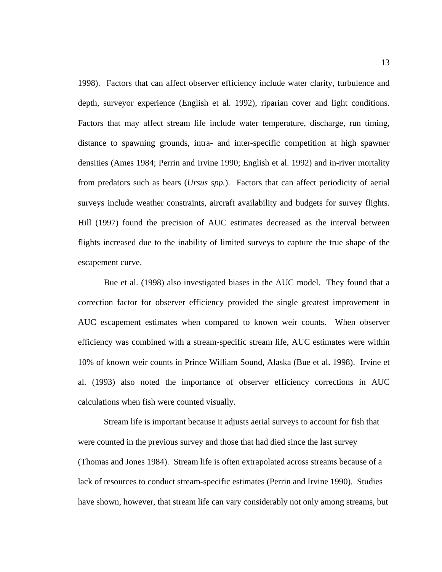1998). Factors that can affect observer efficiency include water clarity, turbulence and depth, surveyor experience (English et al. 1992), riparian cover and light conditions. Factors that may affect stream life include water temperature, discharge, run timing, distance to spawning grounds, intra- and inter-specific competition at high spawner densities (Ames 1984; Perrin and Irvine 1990; English et al. 1992) and in-river mortality from predators such as bears (*Ursus spp.*). Factors that can affect periodicity of aerial surveys include weather constraints, aircraft availability and budgets for survey flights. Hill (1997) found the precision of AUC estimates decreased as the interval between flights increased due to the inability of limited surveys to capture the true shape of the escapement curve.

Bue et al. (1998) also investigated biases in the AUC model. They found that a correction factor for observer efficiency provided the single greatest improvement in AUC escapement estimates when compared to known weir counts. When observer efficiency was combined with a stream-specific stream life, AUC estimates were within 10% of known weir counts in Prince William Sound, Alaska (Bue et al. 1998). Irvine et al. (1993) also noted the importance of observer efficiency corrections in AUC calculations when fish were counted visually.

Stream life is important because it adjusts aerial surveys to account for fish that were counted in the previous survey and those that had died since the last survey (Thomas and Jones 1984). Stream life is often extrapolated across streams because of a lack of resources to conduct stream-specific estimates (Perrin and Irvine 1990). Studies have shown, however, that stream life can vary considerably not only among streams, but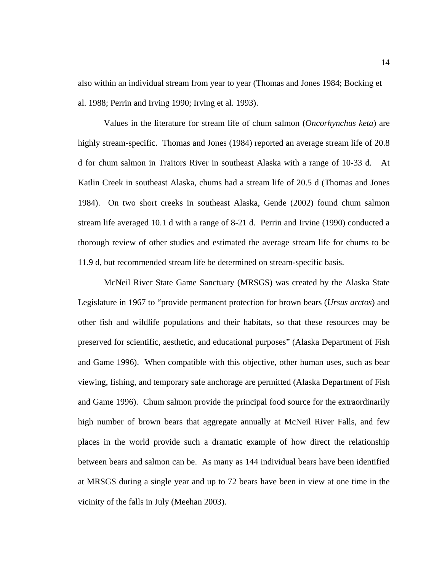also within an individual stream from year to year (Thomas and Jones 1984; Bocking et al. 1988; Perrin and Irving 1990; Irving et al. 1993).

Values in the literature for stream life of chum salmon (*Oncorhynchus keta*) are highly stream-specific. Thomas and Jones (1984) reported an average stream life of 20.8 d for chum salmon in Traitors River in southeast Alaska with a range of 10-33 d. At Katlin Creek in southeast Alaska, chums had a stream life of 20.5 d (Thomas and Jones 1984). On two short creeks in southeast Alaska, Gende (2002) found chum salmon stream life averaged 10.1 d with a range of 8-21 d. Perrin and Irvine (1990) conducted a thorough review of other studies and estimated the average stream life for chums to be 11.9 d, but recommended stream life be determined on stream-specific basis.

McNeil River State Game Sanctuary (MRSGS) was created by the Alaska State Legislature in 1967 to "provide permanent protection for brown bears (*Ursus arctos*) and other fish and wildlife populations and their habitats, so that these resources may be preserved for scientific, aesthetic, and educational purposes" (Alaska Department of Fish and Game 1996). When compatible with this objective, other human uses, such as bear viewing, fishing, and temporary safe anchorage are permitted (Alaska Department of Fish and Game 1996). Chum salmon provide the principal food source for the extraordinarily high number of brown bears that aggregate annually at McNeil River Falls, and few places in the world provide such a dramatic example of how direct the relationship between bears and salmon can be. As many as 144 individual bears have been identified at MRSGS during a single year and up to 72 bears have been in view at one time in the vicinity of the falls in July (Meehan 2003).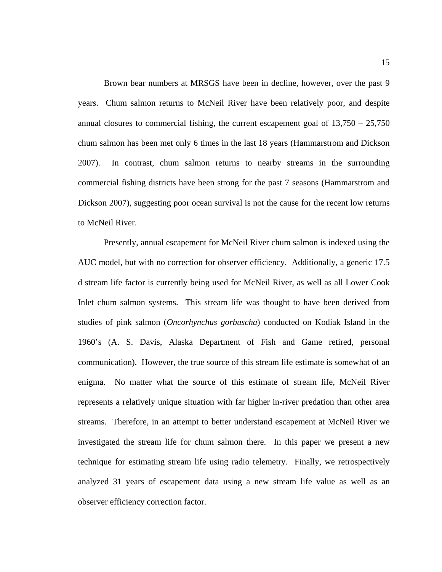Brown bear numbers at MRSGS have been in decline, however, over the past 9 years. Chum salmon returns to McNeil River have been relatively poor, and despite annual closures to commercial fishing, the current escapement goal of 13,750 – 25,750 chum salmon has been met only 6 times in the last 18 years (Hammarstrom and Dickson 2007). In contrast, chum salmon returns to nearby streams in the surrounding commercial fishing districts have been strong for the past 7 seasons (Hammarstrom and Dickson 2007), suggesting poor ocean survival is not the cause for the recent low returns to McNeil River.

Presently, annual escapement for McNeil River chum salmon is indexed using the AUC model, but with no correction for observer efficiency. Additionally, a generic 17.5 d stream life factor is currently being used for McNeil River, as well as all Lower Cook Inlet chum salmon systems. This stream life was thought to have been derived from studies of pink salmon (*Oncorhynchus gorbuscha*) conducted on Kodiak Island in the 1960's (A. S. Davis, Alaska Department of Fish and Game retired, personal communication). However, the true source of this stream life estimate is somewhat of an enigma. No matter what the source of this estimate of stream life, McNeil River represents a relatively unique situation with far higher in-river predation than other area streams. Therefore, in an attempt to better understand escapement at McNeil River we investigated the stream life for chum salmon there. In this paper we present a new technique for estimating stream life using radio telemetry. Finally, we retrospectively analyzed 31 years of escapement data using a new stream life value as well as an observer efficiency correction factor.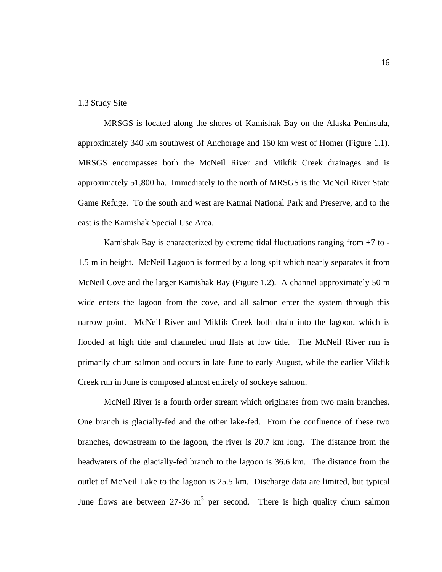<span id="page-24-0"></span>1.3 Study Site

MRSGS is located along the shores of Kamishak Bay on the Alaska Peninsula, approximately 340 km southwest of Anchorage and 160 km west of Homer (Figure 1.1). MRSGS encompasses both the McNeil River and Mikfik Creek drainages and is approximately 51,800 ha. Immediately to the north of MRSGS is the McNeil River State Game Refuge. To the south and west are Katmai National Park and Preserve, and to the east is the Kamishak Special Use Area.

Kamishak Bay is characterized by extreme tidal fluctuations ranging from  $+7$  to -1.5 m in height. McNeil Lagoon is formed by a long spit which nearly separates it from McNeil Cove and the larger Kamishak Bay (Figure 1.2). A channel approximately 50 m wide enters the lagoon from the cove, and all salmon enter the system through this narrow point. McNeil River and Mikfik Creek both drain into the lagoon, which is flooded at high tide and channeled mud flats at low tide. The McNeil River run is primarily chum salmon and occurs in late June to early August, while the earlier Mikfik Creek run in June is composed almost entirely of sockeye salmon.

 McNeil River is a fourth order stream which originates from two main branches. One branch is glacially-fed and the other lake-fed. From the confluence of these two branches, downstream to the lagoon, the river is 20.7 km long. The distance from the headwaters of the glacially-fed branch to the lagoon is 36.6 km. The distance from the outlet of McNeil Lake to the lagoon is 25.5 km. Discharge data are limited, but typical June flows are between 27-36  $m<sup>3</sup>$  per second. There is high quality chum salmon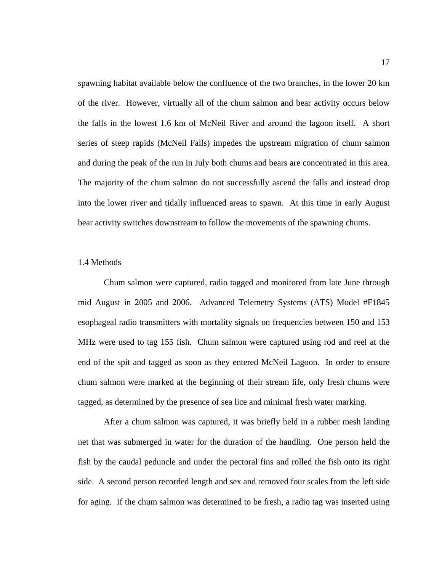<span id="page-25-0"></span>spawning habitat available below the confluence of the two branches, in the lower 20 km of the river. However, virtually all of the chum salmon and bear activity occurs below the falls in the lowest 1.6 km of McNeil River and around the lagoon itself. A short series of steep rapids (McNeil Falls) impedes the upstream migration of chum salmon and during the peak of the run in July both chums and bears are concentrated in this area. The majority of the chum salmon do not successfully ascend the falls and instead drop into the lower river and tidally influenced areas to spawn. At this time in early August bear activity switches downstream to follow the movements of the spawning chums.

#### 1.4 Methods

Chum salmon were captured, radio tagged and monitored from late June through mid August in 2005 and 2006. Advanced Telemetry Systems (ATS) Model #F1845 esophageal radio transmitters with mortality signals on frequencies between 150 and 153 MHz were used to tag 155 fish. Chum salmon were captured using rod and reel at the end of the spit and tagged as soon as they entered McNeil Lagoon. In order to ensure chum salmon were marked at the beginning of their stream life, only fresh chums were tagged, as determined by the presence of sea lice and minimal fresh water marking.

After a chum salmon was captured, it was briefly held in a rubber mesh landing net that was submerged in water for the duration of the handling. One person held the fish by the caudal peduncle and under the pectoral fins and rolled the fish onto its right side. A second person recorded length and sex and removed four scales from the left side for aging. If the chum salmon was determined to be fresh, a radio tag was inserted using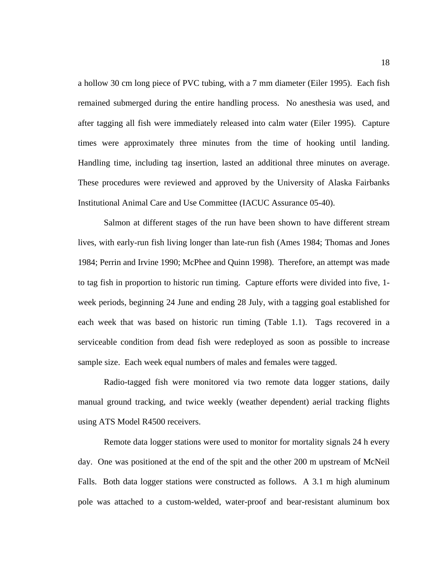a hollow 30 cm long piece of PVC tubing, with a 7 mm diameter (Eiler 1995). Each fish remained submerged during the entire handling process. No anesthesia was used, and after tagging all fish were immediately released into calm water (Eiler 1995). Capture times were approximately three minutes from the time of hooking until landing. Handling time, including tag insertion, lasted an additional three minutes on average. These procedures were reviewed and approved by the University of Alaska Fairbanks Institutional Animal Care and Use Committee (IACUC Assurance 05-40).

Salmon at different stages of the run have been shown to have different stream lives, with early-run fish living longer than late-run fish (Ames 1984; Thomas and Jones 1984; Perrin and Irvine 1990; McPhee and Quinn 1998). Therefore, an attempt was made to tag fish in proportion to historic run timing. Capture efforts were divided into five, 1 week periods, beginning 24 June and ending 28 July, with a tagging goal established for each week that was based on historic run timing (Table 1.1). Tags recovered in a serviceable condition from dead fish were redeployed as soon as possible to increase sample size. Each week equal numbers of males and females were tagged.

Radio-tagged fish were monitored via two remote data logger stations, daily manual ground tracking, and twice weekly (weather dependent) aerial tracking flights using ATS Model R4500 receivers.

Remote data logger stations were used to monitor for mortality signals 24 h every day. One was positioned at the end of the spit and the other 200 m upstream of McNeil Falls. Both data logger stations were constructed as follows. A 3.1 m high aluminum pole was attached to a custom-welded, water-proof and bear-resistant aluminum box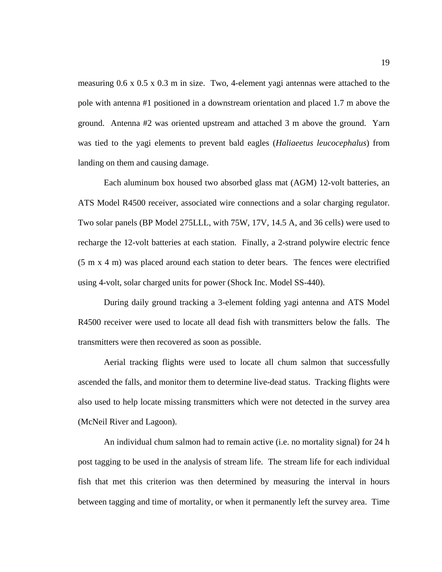measuring 0.6 x 0.5 x 0.3 m in size. Two, 4-element yagi antennas were attached to the pole with antenna #1 positioned in a downstream orientation and placed 1.7 m above the ground. Antenna #2 was oriented upstream and attached 3 m above the ground. Yarn was tied to the yagi elements to prevent bald eagles (*Haliaeetus leucocephalus*) from landing on them and causing damage.

Each aluminum box housed two absorbed glass mat (AGM) 12-volt batteries, an ATS Model R4500 receiver, associated wire connections and a solar charging regulator. Two solar panels (BP Model 275LLL, with 75W, 17V, 14.5 A, and 36 cells) were used to recharge the 12-volt batteries at each station. Finally, a 2-strand polywire electric fence (5 m x 4 m) was placed around each station to deter bears. The fences were electrified using 4-volt, solar charged units for power (Shock Inc. Model SS-440).

During daily ground tracking a 3-element folding yagi antenna and ATS Model R4500 receiver were used to locate all dead fish with transmitters below the falls. The transmitters were then recovered as soon as possible.

Aerial tracking flights were used to locate all chum salmon that successfully ascended the falls, and monitor them to determine live-dead status. Tracking flights were also used to help locate missing transmitters which were not detected in the survey area (McNeil River and Lagoon).

An individual chum salmon had to remain active (i.e. no mortality signal) for 24 h post tagging to be used in the analysis of stream life. The stream life for each individual fish that met this criterion was then determined by measuring the interval in hours between tagging and time of mortality, or when it permanently left the survey area. Time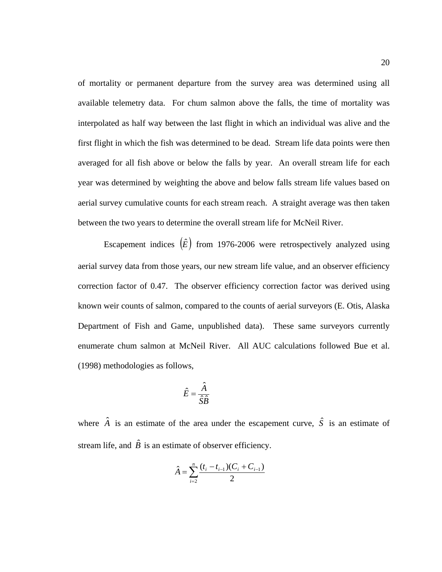of mortality or permanent departure from the survey area was determined using all available telemetry data. For chum salmon above the falls, the time of mortality was interpolated as half way between the last flight in which an individual was alive and the first flight in which the fish was determined to be dead. Stream life data points were then averaged for all fish above or below the falls by year. An overall stream life for each year was determined by weighting the above and below falls stream life values based on aerial survey cumulative counts for each stream reach. A straight average was then taken between the two years to determine the overall stream life for McNeil River.

Escapement indices  $(\hat{E})$  from 1976-2006 were retrospectively analyzed using aerial survey data from those years, our new stream life value, and an observer efficiency correction factor of 0.47. The observer efficiency correction factor was derived using known weir counts of salmon, compared to the counts of aerial surveyors (E. Otis, Alaska Department of Fish and Game, unpublished data). These same surveyors currently enumerate chum salmon at McNeil River. All AUC calculations followed Bue et al. (1998) methodologies as follows,

$$
\hat{E} = \frac{\hat{A}}{\hat{S}\hat{B}}
$$

where  $\hat{A}$  is an estimate of the area under the escapement curve,  $\hat{S}$  is an estimate of stream life, and  $\hat{B}$  is an estimate of observer efficiency.

$$
\hat{A} = \sum_{i=2}^{n} \frac{(t_i - t_{i-1})(C_i + C_{i-1})}{2}
$$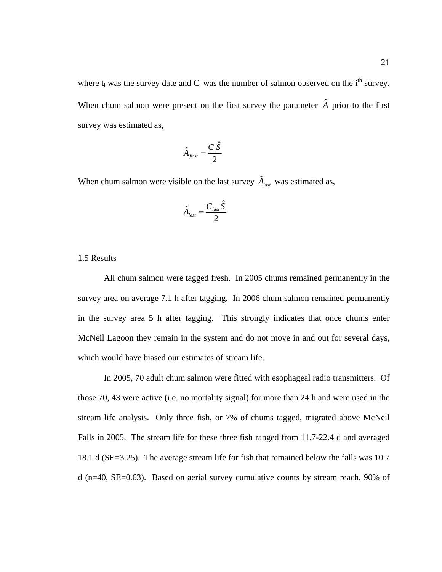<span id="page-29-0"></span>where  $t_i$  was the survey date and  $C_i$  was the number of salmon observed on the  $i<sup>th</sup>$  survey. When chum salmon were present on the first survey the parameter  $\hat{A}$  prior to the first survey was estimated as,

$$
\hat{A}_{\text{first}} = \frac{C_{\text{i}} \hat{S}}{2}
$$

When chum salmon were visible on the last survey  $\hat{A}_{\text{last}}$  was estimated as,

$$
\hat{A}_{\mathit{last}}=\frac{C_{\mathit{last}} \hat{S}}{2}
$$

#### 1.5 Results

All chum salmon were tagged fresh. In 2005 chums remained permanently in the survey area on average 7.1 h after tagging. In 2006 chum salmon remained permanently in the survey area 5 h after tagging. This strongly indicates that once chums enter McNeil Lagoon they remain in the system and do not move in and out for several days, which would have biased our estimates of stream life.

 In 2005, 70 adult chum salmon were fitted with esophageal radio transmitters. Of those 70, 43 were active (i.e. no mortality signal) for more than 24 h and were used in the stream life analysis. Only three fish, or 7% of chums tagged, migrated above McNeil Falls in 2005. The stream life for these three fish ranged from 11.7-22.4 d and averaged 18.1 d (SE=3.25). The average stream life for fish that remained below the falls was 10.7 d (n=40, SE=0.63). Based on aerial survey cumulative counts by stream reach, 90% of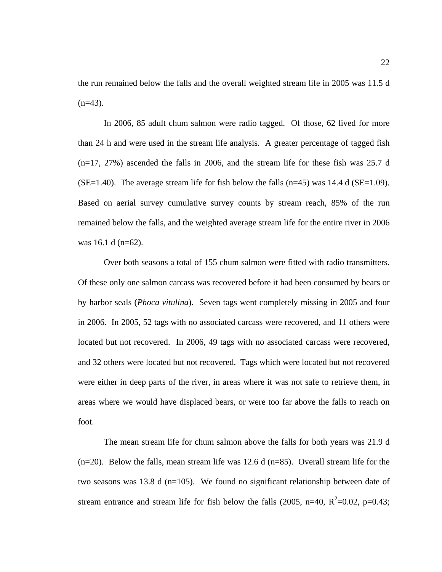the run remained below the falls and the overall weighted stream life in 2005 was 11.5 d  $(n=43)$ .

 In 2006, 85 adult chum salmon were radio tagged. Of those, 62 lived for more than 24 h and were used in the stream life analysis. A greater percentage of tagged fish (n=17, 27%) ascended the falls in 2006, and the stream life for these fish was 25.7 d (SE=1.40). The average stream life for fish below the falls  $(n=45)$  was 14.4 d (SE=1.09). Based on aerial survey cumulative survey counts by stream reach, 85% of the run remained below the falls, and the weighted average stream life for the entire river in 2006 was 16.1 d (n=62).

Over both seasons a total of 155 chum salmon were fitted with radio transmitters. Of these only one salmon carcass was recovered before it had been consumed by bears or by harbor seals (*Phoca vitulina*). Seven tags went completely missing in 2005 and four in 2006. In 2005, 52 tags with no associated carcass were recovered, and 11 others were located but not recovered. In 2006, 49 tags with no associated carcass were recovered, and 32 others were located but not recovered. Tags which were located but not recovered were either in deep parts of the river, in areas where it was not safe to retrieve them, in areas where we would have displaced bears, or were too far above the falls to reach on foot.

The mean stream life for chum salmon above the falls for both years was 21.9 d  $(n=20)$ . Below the falls, mean stream life was 12.6 d  $(n=85)$ . Overall stream life for the two seasons was 13.8 d ( $n=105$ ). We found no significant relationship between date of stream entrance and stream life for fish below the falls (2005, n=40,  $R^2$ =0.02, p=0.43;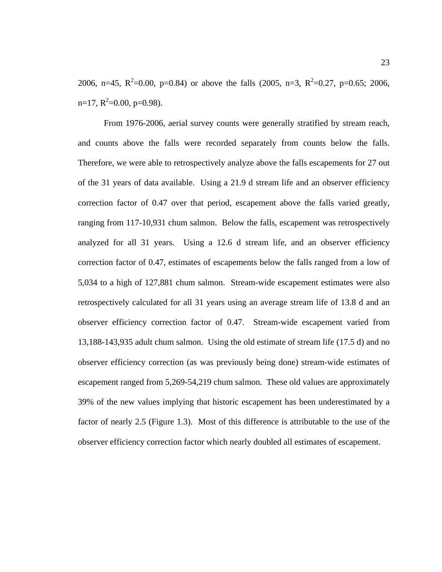2006, n=45,  $R^2$ =0.00, p=0.84) or above the falls (2005, n=3,  $R^2$ =0.27, p=0.65; 2006,  $n=17$ ,  $R^2=0.00$ ,  $p=0.98$ ).

 From 1976-2006, aerial survey counts were generally stratified by stream reach, and counts above the falls were recorded separately from counts below the falls. Therefore, we were able to retrospectively analyze above the falls escapements for 27 out of the 31 years of data available. Using a 21.9 d stream life and an observer efficiency correction factor of 0.47 over that period, escapement above the falls varied greatly, ranging from 117-10,931 chum salmon. Below the falls, escapement was retrospectively analyzed for all 31 years. Using a 12.6 d stream life, and an observer efficiency correction factor of 0.47, estimates of escapements below the falls ranged from a low of 5,034 to a high of 127,881 chum salmon. Stream-wide escapement estimates were also retrospectively calculated for all 31 years using an average stream life of 13.8 d and an observer efficiency correction factor of 0.47. Stream-wide escapement varied from 13,188-143,935 adult chum salmon. Using the old estimate of stream life (17.5 d) and no observer efficiency correction (as was previously being done) stream-wide estimates of escapement ranged from 5,269-54,219 chum salmon. These old values are approximately 39% of the new values implying that historic escapement has been underestimated by a factor of nearly 2.5 (Figure 1.3). Most of this difference is attributable to the use of the observer efficiency correction factor which nearly doubled all estimates of escapement.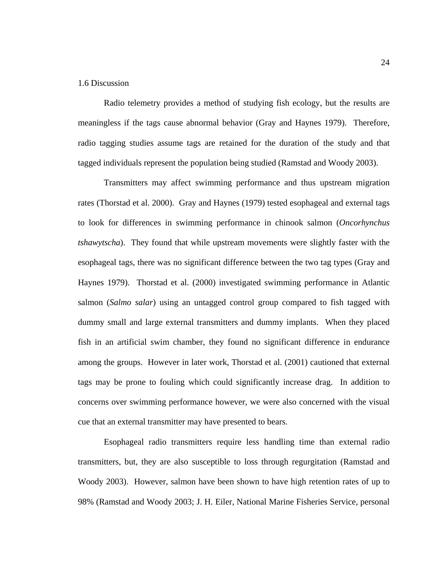#### <span id="page-32-0"></span>1.6 Discussion

Radio telemetry provides a method of studying fish ecology, but the results are meaningless if the tags cause abnormal behavior (Gray and Haynes 1979). Therefore, radio tagging studies assume tags are retained for the duration of the study and that tagged individuals represent the population being studied (Ramstad and Woody 2003).

Transmitters may affect swimming performance and thus upstream migration rates (Thorstad et al. 2000). Gray and Haynes (1979) tested esophageal and external tags to look for differences in swimming performance in chinook salmon (*Oncorhynchus tshawytscha*). They found that while upstream movements were slightly faster with the esophageal tags, there was no significant difference between the two tag types (Gray and Haynes 1979). Thorstad et al. (2000) investigated swimming performance in Atlantic salmon (*Salmo salar*) using an untagged control group compared to fish tagged with dummy small and large external transmitters and dummy implants. When they placed fish in an artificial swim chamber, they found no significant difference in endurance among the groups. However in later work, Thorstad et al. (2001) cautioned that external tags may be prone to fouling which could significantly increase drag. In addition to concerns over swimming performance however, we were also concerned with the visual cue that an external transmitter may have presented to bears.

Esophageal radio transmitters require less handling time than external radio transmitters, but, they are also susceptible to loss through regurgitation (Ramstad and Woody 2003). However, salmon have been shown to have high retention rates of up to 98% (Ramstad and Woody 2003; J. H. Eiler, National Marine Fisheries Service, personal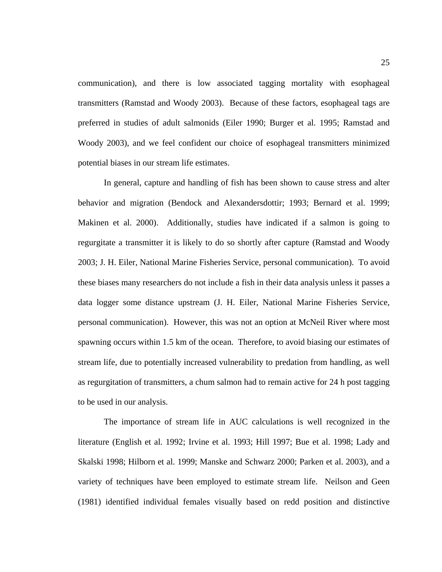communication), and there is low associated tagging mortality with esophageal transmitters (Ramstad and Woody 2003). Because of these factors, esophageal tags are preferred in studies of adult salmonids (Eiler 1990; Burger et al. 1995; Ramstad and Woody 2003), and we feel confident our choice of esophageal transmitters minimized potential biases in our stream life estimates.

In general, capture and handling of fish has been shown to cause stress and alter behavior and migration (Bendock and Alexandersdottir; 1993; Bernard et al. 1999; Makinen et al. 2000). Additionally, studies have indicated if a salmon is going to regurgitate a transmitter it is likely to do so shortly after capture (Ramstad and Woody 2003; J. H. Eiler, National Marine Fisheries Service, personal communication). To avoid these biases many researchers do not include a fish in their data analysis unless it passes a data logger some distance upstream (J. H. Eiler, National Marine Fisheries Service, personal communication). However, this was not an option at McNeil River where most spawning occurs within 1.5 km of the ocean. Therefore, to avoid biasing our estimates of stream life, due to potentially increased vulnerability to predation from handling, as well as regurgitation of transmitters, a chum salmon had to remain active for 24 h post tagging to be used in our analysis.

The importance of stream life in AUC calculations is well recognized in the literature (English et al. 1992; Irvine et al. 1993; Hill 1997; Bue et al. 1998; Lady and Skalski 1998; Hilborn et al. 1999; Manske and Schwarz 2000; Parken et al. 2003), and a variety of techniques have been employed to estimate stream life. Neilson and Geen (1981) identified individual females visually based on redd position and distinctive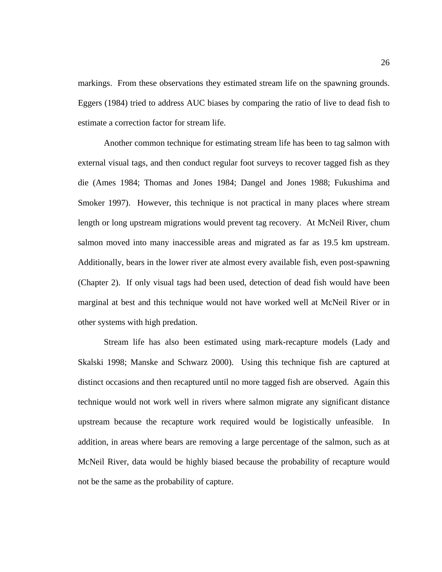markings. From these observations they estimated stream life on the spawning grounds. Eggers (1984) tried to address AUC biases by comparing the ratio of live to dead fish to estimate a correction factor for stream life.

Another common technique for estimating stream life has been to tag salmon with external visual tags, and then conduct regular foot surveys to recover tagged fish as they die (Ames 1984; Thomas and Jones 1984; Dangel and Jones 1988; Fukushima and Smoker 1997). However, this technique is not practical in many places where stream length or long upstream migrations would prevent tag recovery. At McNeil River, chum salmon moved into many inaccessible areas and migrated as far as 19.5 km upstream. Additionally, bears in the lower river ate almost every available fish, even post-spawning (Chapter 2). If only visual tags had been used, detection of dead fish would have been marginal at best and this technique would not have worked well at McNeil River or in other systems with high predation.

Stream life has also been estimated using mark-recapture models (Lady and Skalski 1998; Manske and Schwarz 2000). Using this technique fish are captured at distinct occasions and then recaptured until no more tagged fish are observed. Again this technique would not work well in rivers where salmon migrate any significant distance upstream because the recapture work required would be logistically unfeasible. In addition, in areas where bears are removing a large percentage of the salmon, such as at McNeil River, data would be highly biased because the probability of recapture would not be the same as the probability of capture.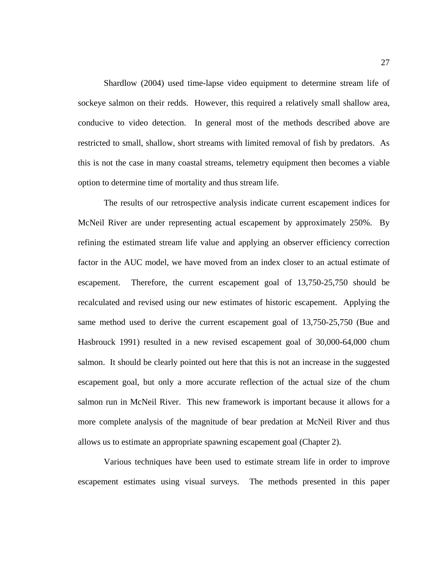Shardlow (2004) used time-lapse video equipment to determine stream life of sockeye salmon on their redds. However, this required a relatively small shallow area, conducive to video detection. In general most of the methods described above are restricted to small, shallow, short streams with limited removal of fish by predators. As this is not the case in many coastal streams, telemetry equipment then becomes a viable option to determine time of mortality and thus stream life.

The results of our retrospective analysis indicate current escapement indices for McNeil River are under representing actual escapement by approximately 250%. By refining the estimated stream life value and applying an observer efficiency correction factor in the AUC model, we have moved from an index closer to an actual estimate of escapement. Therefore, the current escapement goal of 13,750-25,750 should be recalculated and revised using our new estimates of historic escapement. Applying the same method used to derive the current escapement goal of 13,750-25,750 (Bue and Hasbrouck 1991) resulted in a new revised escapement goal of 30,000-64,000 chum salmon. It should be clearly pointed out here that this is not an increase in the suggested escapement goal, but only a more accurate reflection of the actual size of the chum salmon run in McNeil River. This new framework is important because it allows for a more complete analysis of the magnitude of bear predation at McNeil River and thus allows us to estimate an appropriate spawning escapement goal (Chapter 2).

Various techniques have been used to estimate stream life in order to improve escapement estimates using visual surveys. The methods presented in this paper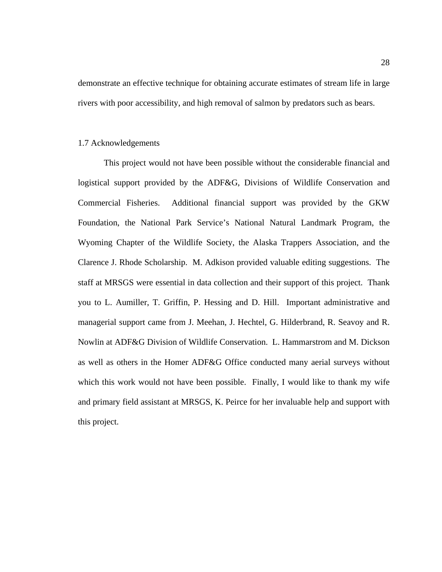demonstrate an effective technique for obtaining accurate estimates of stream life in large rivers with poor accessibility, and high removal of salmon by predators such as bears.

#### 1.7 Acknowledgements

 This project would not have been possible without the considerable financial and logistical support provided by the ADF&G, Divisions of Wildlife Conservation and Commercial Fisheries. Additional financial support was provided by the GKW Foundation, the National Park Service's National Natural Landmark Program, the Wyoming Chapter of the Wildlife Society, the Alaska Trappers Association, and the Clarence J. Rhode Scholarship. M. Adkison provided valuable editing suggestions. The staff at MRSGS were essential in data collection and their support of this project. Thank you to L. Aumiller, T. Griffin, P. Hessing and D. Hill. Important administrative and managerial support came from J. Meehan, J. Hechtel, G. Hilderbrand, R. Seavoy and R. Nowlin at ADF&G Division of Wildlife Conservation. L. Hammarstrom and M. Dickson as well as others in the Homer ADF&G Office conducted many aerial surveys without which this work would not have been possible. Finally, I would like to thank my wife and primary field assistant at MRSGS, K. Peirce for her invaluable help and support with this project.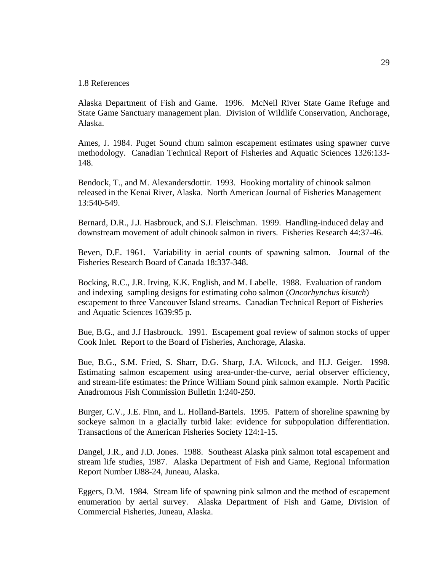#### 1.8 References

Alaska Department of Fish and Game. 1996. McNeil River State Game Refuge and State Game Sanctuary management plan. Division of Wildlife Conservation, Anchorage, Alaska.

Ames, J. 1984. Puget Sound chum salmon escapement estimates using spawner curve methodology. Canadian Technical Report of Fisheries and Aquatic Sciences 1326:133- 148.

Bendock, T., and M. Alexandersdottir. 1993. Hooking mortality of chinook salmon released in the Kenai River, Alaska. North American Journal of Fisheries Management 13:540-549.

Bernard, D.R., J.J. Hasbrouck, and S.J. Fleischman. 1999. Handling-induced delay and downstream movement of adult chinook salmon in rivers. Fisheries Research 44:37-46.

Beven, D.E. 1961. Variability in aerial counts of spawning salmon. Journal of the Fisheries Research Board of Canada 18:337-348.

Bocking, R.C., J.R. Irving, K.K. English, and M. Labelle. 1988. Evaluation of random and indexing sampling designs for estimating coho salmon (*Oncorhynchus kisutch*) escapement to three Vancouver Island streams. Canadian Technical Report of Fisheries and Aquatic Sciences 1639:95 p.

Bue, B.G., and J.J Hasbrouck. 1991. Escapement goal review of salmon stocks of upper Cook Inlet. Report to the Board of Fisheries, Anchorage, Alaska.

Bue, B.G., S.M. Fried, S. Sharr, D.G. Sharp, J.A. Wilcock, and H.J. Geiger. 1998. Estimating salmon escapement using area-under-the-curve, aerial observer efficiency, and stream-life estimates: the Prince William Sound pink salmon example. North Pacific Anadromous Fish Commission Bulletin 1:240-250.

Burger, C.V., J.E. Finn, and L. Holland-Bartels. 1995. Pattern of shoreline spawning by sockeye salmon in a glacially turbid lake: evidence for subpopulation differentiation. Transactions of the American Fisheries Society 124:1-15.

Dangel, J.R., and J.D. Jones. 1988. Southeast Alaska pink salmon total escapement and stream life studies, 1987. Alaska Department of Fish and Game, Regional Information Report Number IJ88-24, Juneau, Alaska.

Eggers, D.M. 1984. Stream life of spawning pink salmon and the method of escapement enumeration by aerial survey. Alaska Department of Fish and Game, Division of Commercial Fisheries, Juneau, Alaska.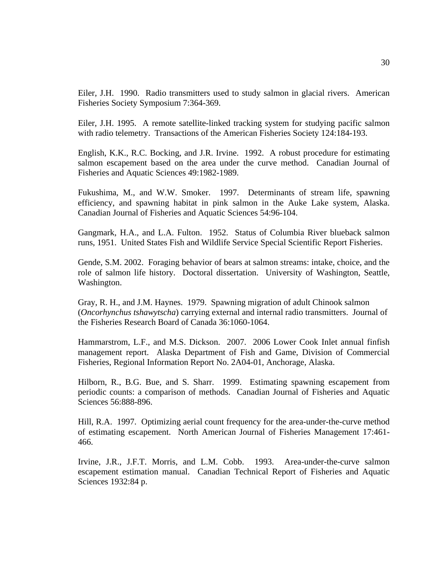Eiler, J.H. 1990. Radio transmitters used to study salmon in glacial rivers. American Fisheries Society Symposium 7:364-369.

Eiler, J.H. 1995. A remote satellite-linked tracking system for studying pacific salmon with radio telemetry. Transactions of the American Fisheries Society 124:184-193.

English, K.K., R.C. Bocking, and J.R. Irvine. 1992. A robust procedure for estimating salmon escapement based on the area under the curve method. Canadian Journal of Fisheries and Aquatic Sciences 49:1982-1989.

Fukushima, M., and W.W. Smoker. 1997. Determinants of stream life, spawning efficiency, and spawning habitat in pink salmon in the Auke Lake system, Alaska. Canadian Journal of Fisheries and Aquatic Sciences 54:96-104.

Gangmark, H.A., and L.A. Fulton. 1952. Status of Columbia River blueback salmon runs, 1951. United States Fish and Wildlife Service Special Scientific Report Fisheries.

Gende, S.M. 2002. Foraging behavior of bears at salmon streams: intake, choice, and the role of salmon life history. Doctoral dissertation. University of Washington, Seattle, Washington.

Gray, R. H., and J.M. Haynes. 1979. Spawning migration of adult Chinook salmon (*Oncorhynchus tshawytscha*) carrying external and internal radio transmitters. Journal of the Fisheries Research Board of Canada 36:1060-1064.

Hammarstrom, L.F., and M.S. Dickson. 2007. 2006 Lower Cook Inlet annual finfish management report. Alaska Department of Fish and Game, Division of Commercial Fisheries, Regional Information Report No. 2A04-01, Anchorage, Alaska.

Hilborn, R., B.G. Bue, and S. Sharr. 1999. Estimating spawning escapement from periodic counts: a comparison of methods. Canadian Journal of Fisheries and Aquatic Sciences 56:888-896.

Hill, R.A. 1997. Optimizing aerial count frequency for the area-under-the-curve method of estimating escapement. North American Journal of Fisheries Management 17:461- 466.

Irvine, J.R., J.F.T. Morris, and L.M. Cobb. 1993. Area-under-the-curve salmon escapement estimation manual. Canadian Technical Report of Fisheries and Aquatic Sciences 1932:84 p.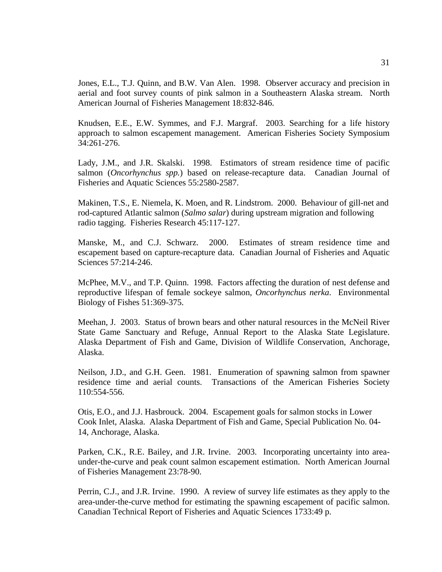Jones, E.L., T.J. Quinn, and B.W. Van Alen. 1998. Observer accuracy and precision in aerial and foot survey counts of pink salmon in a Southeastern Alaska stream. North American Journal of Fisheries Management 18:832-846.

Knudsen, E.E., E.W. Symmes, and F.J. Margraf. 2003. Searching for a life history approach to salmon escapement management. American Fisheries Society Symposium 34:261-276.

Lady, J.M., and J.R. Skalski. 1998. Estimators of stream residence time of pacific salmon (*Oncorhynchus spp.*) based on release-recapture data. Canadian Journal of Fisheries and Aquatic Sciences 55:2580-2587.

Makinen, T.S., E. Niemela, K. Moen, and R. Lindstrom. 2000. Behaviour of gill-net and rod-captured Atlantic salmon (*Salmo salar*) during upstream migration and following radio tagging. Fisheries Research 45:117-127.

Manske, M., and C.J. Schwarz. 2000. Estimates of stream residence time and escapement based on capture-recapture data. Canadian Journal of Fisheries and Aquatic Sciences 57:214-246.

McPhee, M.V., and T.P. Quinn. 1998. Factors affecting the duration of nest defense and reproductive lifespan of female sockeye salmon, *Oncorhynchus nerka*. Environmental Biology of Fishes 51:369-375.

Meehan, J. 2003. Status of brown bears and other natural resources in the McNeil River State Game Sanctuary and Refuge, Annual Report to the Alaska State Legislature. Alaska Department of Fish and Game, Division of Wildlife Conservation, Anchorage, Alaska.

Neilson, J.D., and G.H. Geen. 1981. Enumeration of spawning salmon from spawner residence time and aerial counts. Transactions of the American Fisheries Society 110:554-556.

Otis, E.O., and J.J. Hasbrouck. 2004. Escapement goals for salmon stocks in Lower Cook Inlet, Alaska. Alaska Department of Fish and Game, Special Publication No. 04- 14, Anchorage, Alaska.

Parken, C.K., R.E. Bailey, and J.R. Irvine. 2003. Incorporating uncertainty into areaunder-the-curve and peak count salmon escapement estimation. North American Journal of Fisheries Management 23:78-90.

Perrin, C.J., and J.R. Irvine. 1990. A review of survey life estimates as they apply to the area-under-the-curve method for estimating the spawning escapement of pacific salmon. Canadian Technical Report of Fisheries and Aquatic Sciences 1733:49 p.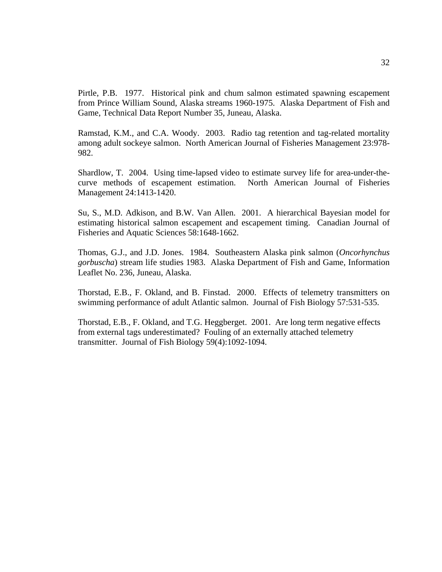Pirtle, P.B. 1977. Historical pink and chum salmon estimated spawning escapement from Prince William Sound, Alaska streams 1960-1975. Alaska Department of Fish and Game, Technical Data Report Number 35, Juneau, Alaska.

Ramstad, K.M., and C.A. Woody. 2003. Radio tag retention and tag-related mortality among adult sockeye salmon. North American Journal of Fisheries Management 23:978- 982.

Shardlow, T. 2004. Using time-lapsed video to estimate survey life for area-under-thecurve methods of escapement estimation. North American Journal of Fisheries Management 24:1413-1420.

Su, S., M.D. Adkison, and B.W. Van Allen. 2001. A hierarchical Bayesian model for estimating historical salmon escapement and escapement timing. Canadian Journal of Fisheries and Aquatic Sciences 58:1648-1662.

Thomas, G.J., and J.D. Jones. 1984. Southeastern Alaska pink salmon (*Oncorhynchus gorbuscha*) stream life studies 1983. Alaska Department of Fish and Game, Information Leaflet No. 236, Juneau, Alaska.

Thorstad, E.B., F. Okland, and B. Finstad. 2000. Effects of telemetry transmitters on swimming performance of adult Atlantic salmon. Journal of Fish Biology 57:531-535.

Thorstad, E.B., F. Okland, and T.G. Heggberget. 2001. Are long term negative effects from external tags underestimated? Fouling of an externally attached telemetry transmitter. Journal of Fish Biology 59(4):1092-1094.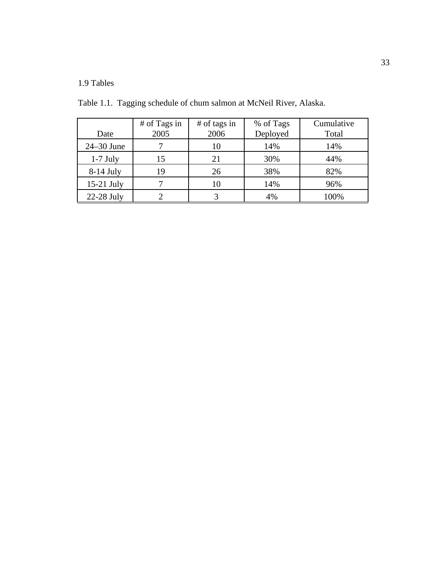# 1.9 Tables

| Date           | # of Tags in<br>2005 | $#$ of tags in<br>2006 | % of Tags<br>Deployed | Cumulative<br>Total |
|----------------|----------------------|------------------------|-----------------------|---------------------|
| $24 - 30$ June |                      | 10                     | 14%                   | 14%                 |
| $1-7$ July     | 15                   | 21                     | 30%                   | 44%                 |
| $8-14$ July    | 19                   | 26                     | 38%                   | 82%                 |
| $15-21$ July   |                      | 10                     | 14%                   | 96%                 |
| $22-28$ July   |                      |                        | 4%                    | 100%                |

Table 1.1. Tagging schedule of chum salmon at McNeil River, Alaska.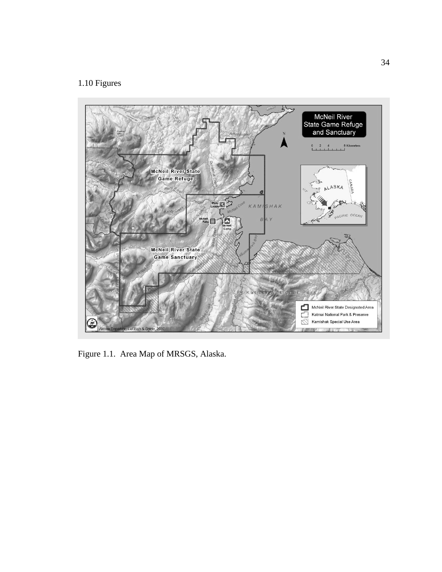# 1.10 Figures



Figure 1.1. Area Map of MRSGS, Alaska.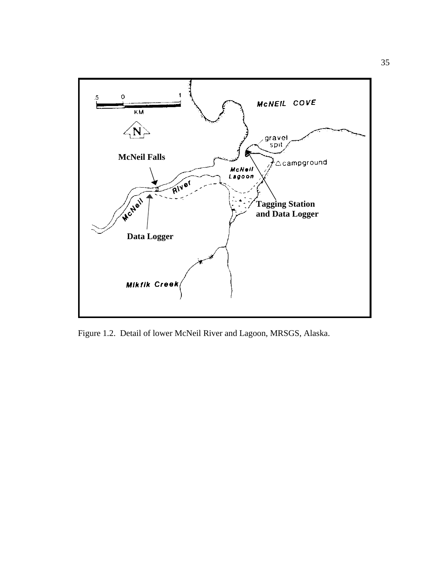

Figure 1.2. Detail of lower McNeil River and Lagoon, MRSGS, Alaska.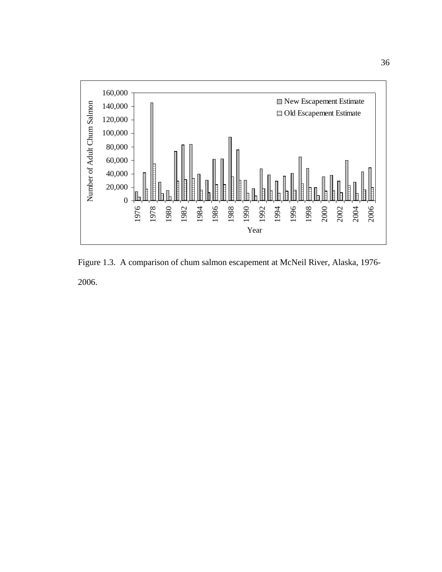

Figure 1.3. A comparison of chum salmon escapement at McNeil River, Alaska, 1976- 2006.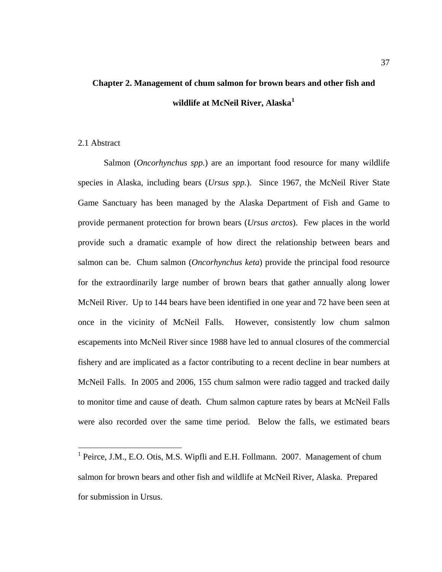# **Chapter 2. Management of chum salmon for brown bears and other fish and wildlife at McNeil River, Alaska[1](#page-45-0)**

### 2.1 Abstract

1

 Salmon (*Oncorhynchus spp.*) are an important food resource for many wildlife species in Alaska, including bears (*Ursus spp.*). Since 1967, the McNeil River State Game Sanctuary has been managed by the Alaska Department of Fish and Game to provide permanent protection for brown bears (*Ursus arctos*). Few places in the world provide such a dramatic example of how direct the relationship between bears and salmon can be. Chum salmon (*Oncorhynchus keta*) provide the principal food resource for the extraordinarily large number of brown bears that gather annually along lower McNeil River. Up to 144 bears have been identified in one year and 72 have been seen at once in the vicinity of McNeil Falls. However, consistently low chum salmon escapements into McNeil River since 1988 have led to annual closures of the commercial fishery and are implicated as a factor contributing to a recent decline in bear numbers at McNeil Falls. In 2005 and 2006, 155 chum salmon were radio tagged and tracked daily to monitor time and cause of death. Chum salmon capture rates by bears at McNeil Falls were also recorded over the same time period. Below the falls, we estimated bears

<span id="page-45-0"></span><sup>&</sup>lt;sup>1</sup> Peirce, J.M., E.O. Otis, M.S. Wipfli and E.H. Follmann. 2007. Management of chum salmon for brown bears and other fish and wildlife at McNeil River, Alaska. Prepared for submission in Ursus.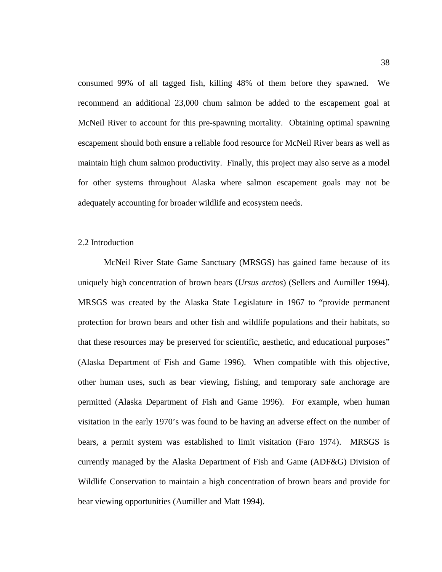consumed 99% of all tagged fish, killing 48% of them before they spawned. We recommend an additional 23,000 chum salmon be added to the escapement goal at McNeil River to account for this pre-spawning mortality. Obtaining optimal spawning escapement should both ensure a reliable food resource for McNeil River bears as well as maintain high chum salmon productivity. Finally, this project may also serve as a model for other systems throughout Alaska where salmon escapement goals may not be adequately accounting for broader wildlife and ecosystem needs.

#### 2.2 Introduction

McNeil River State Game Sanctuary (MRSGS) has gained fame because of its uniquely high concentration of brown bears (*Ursus arctos*) (Sellers and Aumiller 1994). MRSGS was created by the Alaska State Legislature in 1967 to "provide permanent protection for brown bears and other fish and wildlife populations and their habitats, so that these resources may be preserved for scientific, aesthetic, and educational purposes" (Alaska Department of Fish and Game 1996). When compatible with this objective, other human uses, such as bear viewing, fishing, and temporary safe anchorage are permitted (Alaska Department of Fish and Game 1996). For example, when human visitation in the early 1970's was found to be having an adverse effect on the number of bears, a permit system was established to limit visitation (Faro 1974). MRSGS is currently managed by the Alaska Department of Fish and Game (ADF&G) Division of Wildlife Conservation to maintain a high concentration of brown bears and provide for bear viewing opportunities (Aumiller and Matt 1994).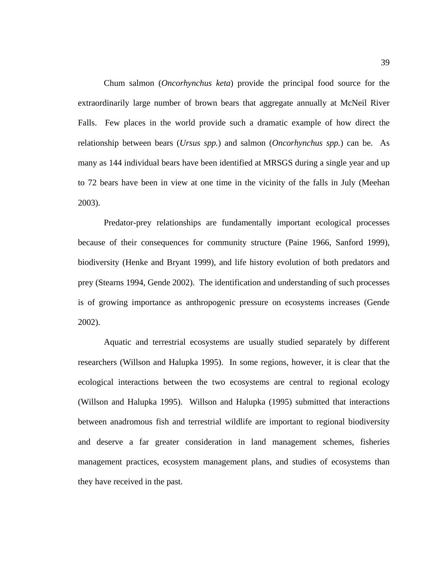Chum salmon (*Oncorhynchus keta*) provide the principal food source for the extraordinarily large number of brown bears that aggregate annually at McNeil River Falls. Few places in the world provide such a dramatic example of how direct the relationship between bears (*Ursus spp.*) and salmon (*Oncorhynchus spp.*) can be. As many as 144 individual bears have been identified at MRSGS during a single year and up to 72 bears have been in view at one time in the vicinity of the falls in July (Meehan 2003).

Predator-prey relationships are fundamentally important ecological processes because of their consequences for community structure (Paine 1966, Sanford 1999), biodiversity (Henke and Bryant 1999), and life history evolution of both predators and prey (Stearns 1994, Gende 2002). The identification and understanding of such processes is of growing importance as anthropogenic pressure on ecosystems increases (Gende 2002).

Aquatic and terrestrial ecosystems are usually studied separately by different researchers (Willson and Halupka 1995). In some regions, however, it is clear that the ecological interactions between the two ecosystems are central to regional ecology (Willson and Halupka 1995). Willson and Halupka (1995) submitted that interactions between anadromous fish and terrestrial wildlife are important to regional biodiversity and deserve a far greater consideration in land management schemes, fisheries management practices, ecosystem management plans, and studies of ecosystems than they have received in the past.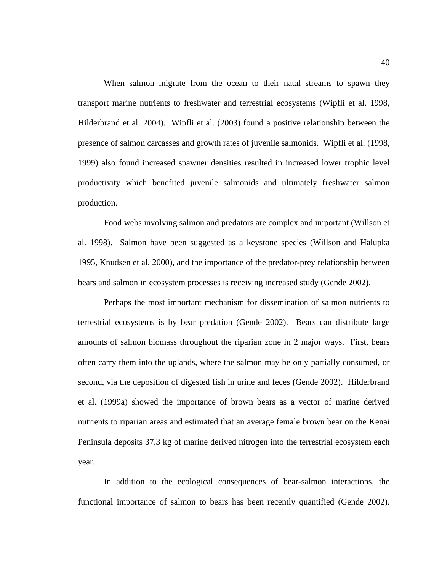When salmon migrate from the ocean to their natal streams to spawn they transport marine nutrients to freshwater and terrestrial ecosystems (Wipfli et al. 1998, Hilderbrand et al. 2004). Wipfli et al. (2003) found a positive relationship between the presence of salmon carcasses and growth rates of juvenile salmonids. Wipfli et al. (1998, 1999) also found increased spawner densities resulted in increased lower trophic level productivity which benefited juvenile salmonids and ultimately freshwater salmon production.

Food webs involving salmon and predators are complex and important (Willson et al. 1998). Salmon have been suggested as a keystone species (Willson and Halupka 1995, Knudsen et al. 2000), and the importance of the predator-prey relationship between bears and salmon in ecosystem processes is receiving increased study (Gende 2002).

Perhaps the most important mechanism for dissemination of salmon nutrients to terrestrial ecosystems is by bear predation (Gende 2002). Bears can distribute large amounts of salmon biomass throughout the riparian zone in 2 major ways. First, bears often carry them into the uplands, where the salmon may be only partially consumed, or second, via the deposition of digested fish in urine and feces (Gende 2002). Hilderbrand et al. (1999a) showed the importance of brown bears as a vector of marine derived nutrients to riparian areas and estimated that an average female brown bear on the Kenai Peninsula deposits 37.3 kg of marine derived nitrogen into the terrestrial ecosystem each year.

In addition to the ecological consequences of bear-salmon interactions, the functional importance of salmon to bears has been recently quantified (Gende 2002).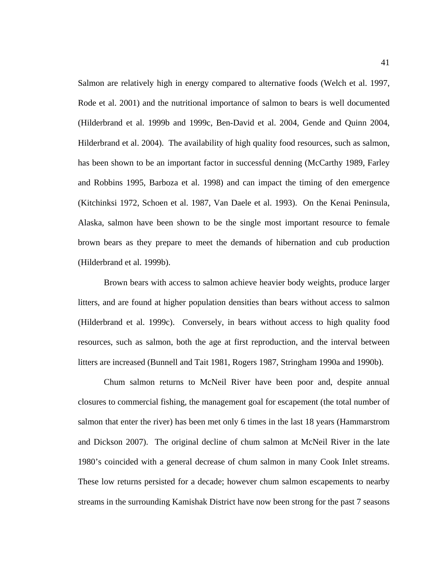Salmon are relatively high in energy compared to alternative foods (Welch et al. 1997, Rode et al. 2001) and the nutritional importance of salmon to bears is well documented (Hilderbrand et al. 1999b and 1999c, Ben-David et al. 2004, Gende and Quinn 2004, Hilderbrand et al. 2004). The availability of high quality food resources, such as salmon, has been shown to be an important factor in successful denning (McCarthy 1989, Farley and Robbins 1995, Barboza et al. 1998) and can impact the timing of den emergence (Kitchinksi 1972, Schoen et al. 1987, Van Daele et al. 1993). On the Kenai Peninsula, Alaska, salmon have been shown to be the single most important resource to female brown bears as they prepare to meet the demands of hibernation and cub production (Hilderbrand et al. 1999b).

Brown bears with access to salmon achieve heavier body weights, produce larger litters, and are found at higher population densities than bears without access to salmon (Hilderbrand et al. 1999c). Conversely, in bears without access to high quality food resources, such as salmon, both the age at first reproduction, and the interval between litters are increased (Bunnell and Tait 1981, Rogers 1987, Stringham 1990a and 1990b).

Chum salmon returns to McNeil River have been poor and, despite annual closures to commercial fishing, the management goal for escapement (the total number of salmon that enter the river) has been met only 6 times in the last 18 years (Hammarstrom and Dickson 2007). The original decline of chum salmon at McNeil River in the late 1980's coincided with a general decrease of chum salmon in many Cook Inlet streams. These low returns persisted for a decade; however chum salmon escapements to nearby streams in the surrounding Kamishak District have now been strong for the past 7 seasons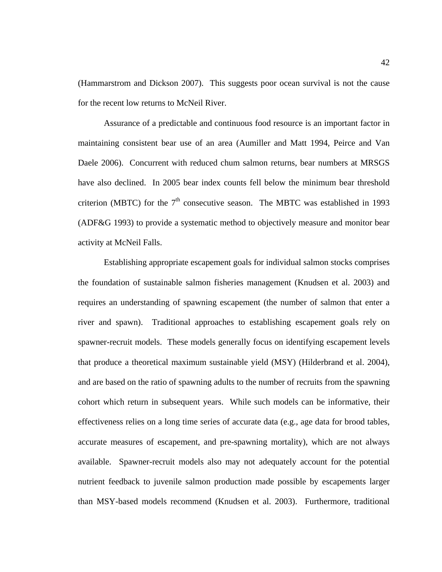(Hammarstrom and Dickson 2007). This suggests poor ocean survival is not the cause for the recent low returns to McNeil River.

Assurance of a predictable and continuous food resource is an important factor in maintaining consistent bear use of an area (Aumiller and Matt 1994, Peirce and Van Daele 2006). Concurrent with reduced chum salmon returns, bear numbers at MRSGS have also declined. In 2005 bear index counts fell below the minimum bear threshold criterion (MBTC) for the  $7<sup>th</sup>$  consecutive season. The MBTC was established in 1993 (ADF&G 1993) to provide a systematic method to objectively measure and monitor bear activity at McNeil Falls.

Establishing appropriate escapement goals for individual salmon stocks comprises the foundation of sustainable salmon fisheries management (Knudsen et al. 2003) and requires an understanding of spawning escapement (the number of salmon that enter a river and spawn). Traditional approaches to establishing escapement goals rely on spawner-recruit models. These models generally focus on identifying escapement levels that produce a theoretical maximum sustainable yield (MSY) (Hilderbrand et al. 2004), and are based on the ratio of spawning adults to the number of recruits from the spawning cohort which return in subsequent years. While such models can be informative, their effectiveness relies on a long time series of accurate data (e.g., age data for brood tables, accurate measures of escapement, and pre-spawning mortality), which are not always available. Spawner-recruit models also may not adequately account for the potential nutrient feedback to juvenile salmon production made possible by escapements larger than MSY-based models recommend (Knudsen et al. 2003). Furthermore, traditional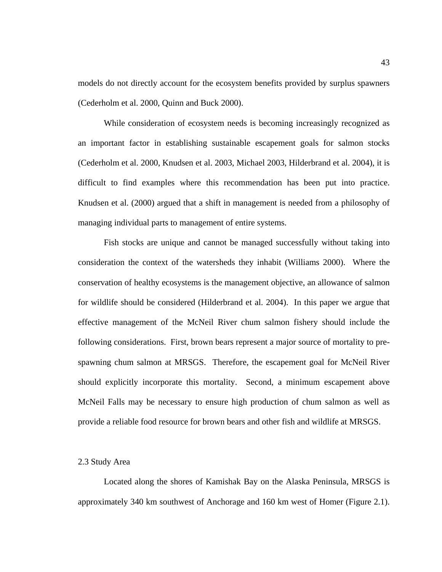models do not directly account for the ecosystem benefits provided by surplus spawners (Cederholm et al. 2000, Quinn and Buck 2000).

While consideration of ecosystem needs is becoming increasingly recognized as an important factor in establishing sustainable escapement goals for salmon stocks (Cederholm et al. 2000, Knudsen et al. 2003, Michael 2003, Hilderbrand et al. 2004), it is difficult to find examples where this recommendation has been put into practice. Knudsen et al. (2000) argued that a shift in management is needed from a philosophy of managing individual parts to management of entire systems.

Fish stocks are unique and cannot be managed successfully without taking into consideration the context of the watersheds they inhabit (Williams 2000). Where the conservation of healthy ecosystems is the management objective, an allowance of salmon for wildlife should be considered (Hilderbrand et al. 2004). In this paper we argue that effective management of the McNeil River chum salmon fishery should include the following considerations. First, brown bears represent a major source of mortality to prespawning chum salmon at MRSGS. Therefore, the escapement goal for McNeil River should explicitly incorporate this mortality. Second, a minimum escapement above McNeil Falls may be necessary to ensure high production of chum salmon as well as provide a reliable food resource for brown bears and other fish and wildlife at MRSGS.

#### 2.3 Study Area

Located along the shores of Kamishak Bay on the Alaska Peninsula, MRSGS is approximately 340 km southwest of Anchorage and 160 km west of Homer (Figure 2.1).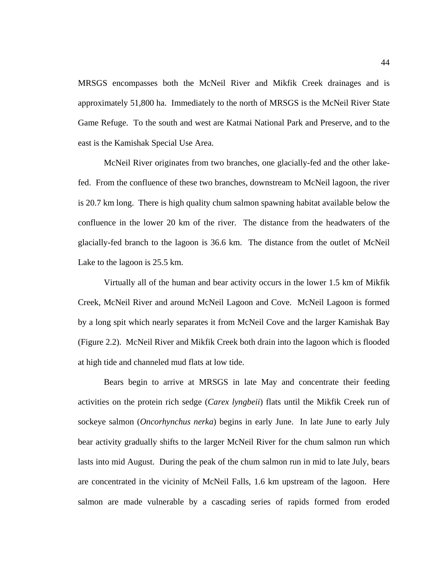MRSGS encompasses both the McNeil River and Mikfik Creek drainages and is approximately 51,800 ha. Immediately to the north of MRSGS is the McNeil River State Game Refuge. To the south and west are Katmai National Park and Preserve, and to the east is the Kamishak Special Use Area.

 McNeil River originates from two branches, one glacially-fed and the other lakefed. From the confluence of these two branches, downstream to McNeil lagoon, the river is 20.7 km long. There is high quality chum salmon spawning habitat available below the confluence in the lower 20 km of the river. The distance from the headwaters of the glacially-fed branch to the lagoon is 36.6 km. The distance from the outlet of McNeil Lake to the lagoon is 25.5 km.

Virtually all of the human and bear activity occurs in the lower 1.5 km of Mikfik Creek, McNeil River and around McNeil Lagoon and Cove. McNeil Lagoon is formed by a long spit which nearly separates it from McNeil Cove and the larger Kamishak Bay (Figure 2.2). McNeil River and Mikfik Creek both drain into the lagoon which is flooded at high tide and channeled mud flats at low tide.

Bears begin to arrive at MRSGS in late May and concentrate their feeding activities on the protein rich sedge (*Carex lyngbeii*) flats until the Mikfik Creek run of sockeye salmon (*Oncorhynchus nerka*) begins in early June. In late June to early July bear activity gradually shifts to the larger McNeil River for the chum salmon run which lasts into mid August. During the peak of the chum salmon run in mid to late July, bears are concentrated in the vicinity of McNeil Falls, 1.6 km upstream of the lagoon. Here salmon are made vulnerable by a cascading series of rapids formed from eroded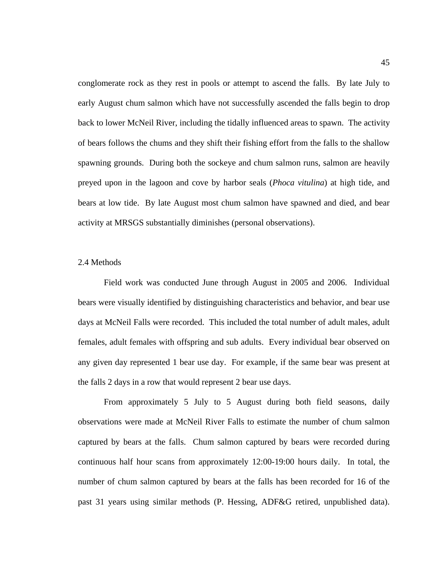conglomerate rock as they rest in pools or attempt to ascend the falls. By late July to early August chum salmon which have not successfully ascended the falls begin to drop back to lower McNeil River, including the tidally influenced areas to spawn. The activity of bears follows the chums and they shift their fishing effort from the falls to the shallow spawning grounds. During both the sockeye and chum salmon runs, salmon are heavily preyed upon in the lagoon and cove by harbor seals (*Phoca vitulina*) at high tide, and bears at low tide. By late August most chum salmon have spawned and died, and bear activity at MRSGS substantially diminishes (personal observations).

## 2.4 Methods

Field work was conducted June through August in 2005 and 2006. Individual bears were visually identified by distinguishing characteristics and behavior, and bear use days at McNeil Falls were recorded. This included the total number of adult males, adult females, adult females with offspring and sub adults. Every individual bear observed on any given day represented 1 bear use day. For example, if the same bear was present at the falls 2 days in a row that would represent 2 bear use days.

From approximately 5 July to 5 August during both field seasons, daily observations were made at McNeil River Falls to estimate the number of chum salmon captured by bears at the falls. Chum salmon captured by bears were recorded during continuous half hour scans from approximately 12:00-19:00 hours daily. In total, the number of chum salmon captured by bears at the falls has been recorded for 16 of the past 31 years using similar methods (P. Hessing, ADF&G retired, unpublished data).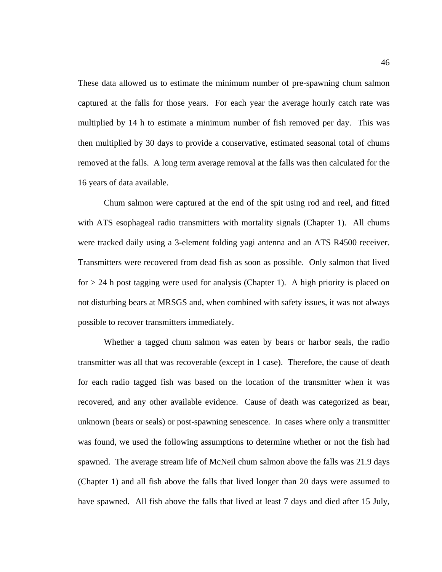These data allowed us to estimate the minimum number of pre-spawning chum salmon captured at the falls for those years. For each year the average hourly catch rate was multiplied by 14 h to estimate a minimum number of fish removed per day. This was then multiplied by 30 days to provide a conservative, estimated seasonal total of chums removed at the falls. A long term average removal at the falls was then calculated for the 16 years of data available.

Chum salmon were captured at the end of the spit using rod and reel, and fitted with ATS esophageal radio transmitters with mortality signals (Chapter 1). All chums were tracked daily using a 3-element folding yagi antenna and an ATS R4500 receiver. Transmitters were recovered from dead fish as soon as possible. Only salmon that lived for  $> 24$  h post tagging were used for analysis (Chapter 1). A high priority is placed on not disturbing bears at MRSGS and, when combined with safety issues, it was not always possible to recover transmitters immediately.

Whether a tagged chum salmon was eaten by bears or harbor seals, the radio transmitter was all that was recoverable (except in 1 case). Therefore, the cause of death for each radio tagged fish was based on the location of the transmitter when it was recovered, and any other available evidence. Cause of death was categorized as bear, unknown (bears or seals) or post-spawning senescence. In cases where only a transmitter was found, we used the following assumptions to determine whether or not the fish had spawned. The average stream life of McNeil chum salmon above the falls was 21.9 days (Chapter 1) and all fish above the falls that lived longer than 20 days were assumed to have spawned. All fish above the falls that lived at least 7 days and died after 15 July,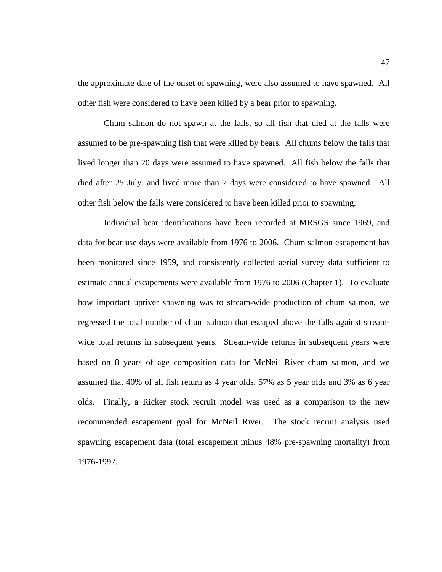the approximate date of the onset of spawning, were also assumed to have spawned. All other fish were considered to have been killed by a bear prior to spawning.

Chum salmon do not spawn at the falls, so all fish that died at the falls were assumed to be pre-spawning fish that were killed by bears. All chums below the falls that lived longer than 20 days were assumed to have spawned. All fish below the falls that died after 25 July, and lived more than 7 days were considered to have spawned. All other fish below the falls were considered to have been killed prior to spawning.

Individual bear identifications have been recorded at MRSGS since 1969, and data for bear use days were available from 1976 to 2006. Chum salmon escapement has been monitored since 1959, and consistently collected aerial survey data sufficient to estimate annual escapements were available from 1976 to 2006 (Chapter 1). To evaluate how important upriver spawning was to stream-wide production of chum salmon, we regressed the total number of chum salmon that escaped above the falls against streamwide total returns in subsequent years. Stream-wide returns in subsequent years were based on 8 years of age composition data for McNeil River chum salmon, and we assumed that 40% of all fish return as 4 year olds, 57% as 5 year olds and 3% as 6 year olds. Finally, a Ricker stock recruit model was used as a comparison to the new recommended escapement goal for McNeil River. The stock recruit analysis used spawning escapement data (total escapement minus 48% pre-spawning mortality) from 1976-1992.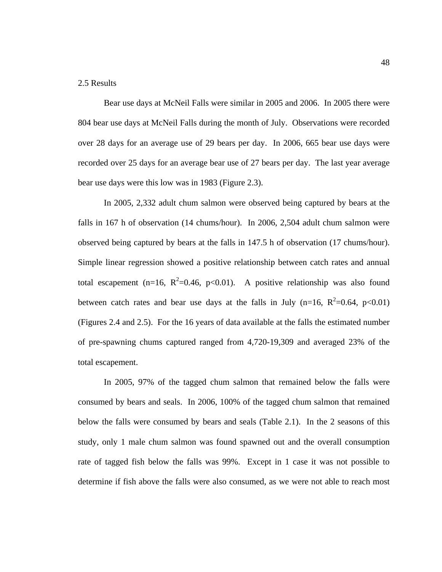## 2.5 Results

 Bear use days at McNeil Falls were similar in 2005 and 2006. In 2005 there were 804 bear use days at McNeil Falls during the month of July. Observations were recorded over 28 days for an average use of 29 bears per day. In 2006, 665 bear use days were recorded over 25 days for an average bear use of 27 bears per day. The last year average bear use days were this low was in 1983 (Figure 2.3).

 In 2005, 2,332 adult chum salmon were observed being captured by bears at the falls in 167 h of observation (14 chums/hour). In 2006, 2,504 adult chum salmon were observed being captured by bears at the falls in 147.5 h of observation (17 chums/hour). Simple linear regression showed a positive relationship between catch rates and annual total escapement (n=16,  $R^2$ =0.46, p<0.01). A positive relationship was also found between catch rates and bear use days at the falls in July (n=16,  $R^2=0.64$ , p<0.01) (Figures 2.4 and 2.5). For the 16 years of data available at the falls the estimated number of pre-spawning chums captured ranged from 4,720-19,309 and averaged 23% of the total escapement.

In 2005, 97% of the tagged chum salmon that remained below the falls were consumed by bears and seals. In 2006, 100% of the tagged chum salmon that remained below the falls were consumed by bears and seals (Table 2.1). In the 2 seasons of this study, only 1 male chum salmon was found spawned out and the overall consumption rate of tagged fish below the falls was 99%. Except in 1 case it was not possible to determine if fish above the falls were also consumed, as we were not able to reach most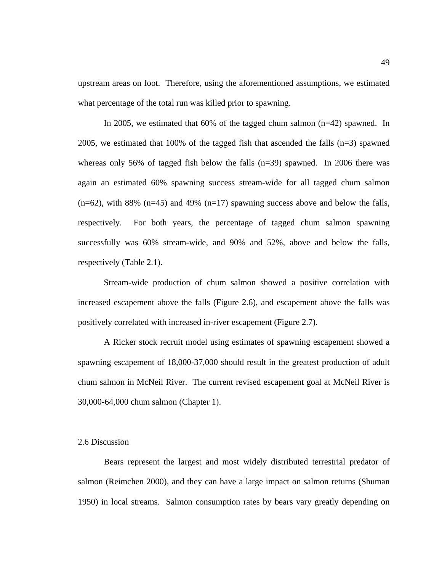upstream areas on foot. Therefore, using the aforementioned assumptions, we estimated what percentage of the total run was killed prior to spawning.

In 2005, we estimated that 60% of the tagged chum salmon (n=42) spawned. In 2005, we estimated that 100% of the tagged fish that ascended the falls (n=3) spawned whereas only 56% of tagged fish below the falls  $(n=39)$  spawned. In 2006 there was again an estimated 60% spawning success stream-wide for all tagged chum salmon  $(n=62)$ , with 88%  $(n=45)$  and 49%  $(n=17)$  spawning success above and below the falls, respectively. For both years, the percentage of tagged chum salmon spawning successfully was 60% stream-wide, and 90% and 52%, above and below the falls, respectively (Table 2.1).

 Stream-wide production of chum salmon showed a positive correlation with increased escapement above the falls (Figure 2.6), and escapement above the falls was positively correlated with increased in-river escapement (Figure 2.7).

A Ricker stock recruit model using estimates of spawning escapement showed a spawning escapement of 18,000-37,000 should result in the greatest production of adult chum salmon in McNeil River. The current revised escapement goal at McNeil River is 30,000-64,000 chum salmon (Chapter 1).

#### 2.6 Discussion

Bears represent the largest and most widely distributed terrestrial predator of salmon (Reimchen 2000), and they can have a large impact on salmon returns (Shuman 1950) in local streams. Salmon consumption rates by bears vary greatly depending on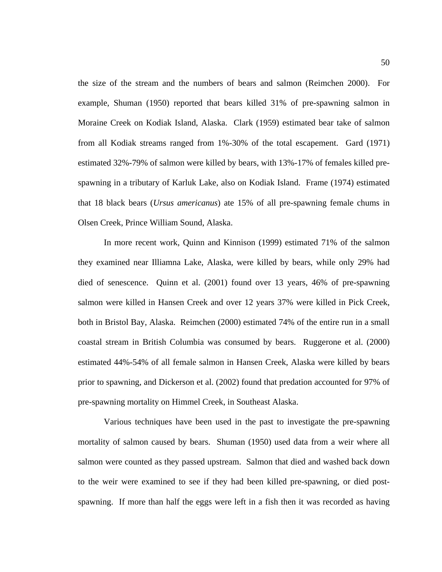the size of the stream and the numbers of bears and salmon (Reimchen 2000). For example, Shuman (1950) reported that bears killed 31% of pre-spawning salmon in Moraine Creek on Kodiak Island, Alaska. Clark (1959) estimated bear take of salmon from all Kodiak streams ranged from 1%-30% of the total escapement. Gard (1971) estimated 32%-79% of salmon were killed by bears, with 13%-17% of females killed prespawning in a tributary of Karluk Lake, also on Kodiak Island. Frame (1974) estimated that 18 black bears (*Ursus americanus*) ate 15% of all pre-spawning female chums in Olsen Creek, Prince William Sound, Alaska.

In more recent work, Quinn and Kinnison (1999) estimated 71% of the salmon they examined near Illiamna Lake, Alaska, were killed by bears, while only 29% had died of senescence. Quinn et al. (2001) found over 13 years, 46% of pre-spawning salmon were killed in Hansen Creek and over 12 years 37% were killed in Pick Creek, both in Bristol Bay, Alaska. Reimchen (2000) estimated 74% of the entire run in a small coastal stream in British Columbia was consumed by bears. Ruggerone et al. (2000) estimated 44%-54% of all female salmon in Hansen Creek, Alaska were killed by bears prior to spawning, and Dickerson et al. (2002) found that predation accounted for 97% of pre-spawning mortality on Himmel Creek, in Southeast Alaska.

Various techniques have been used in the past to investigate the pre-spawning mortality of salmon caused by bears. Shuman (1950) used data from a weir where all salmon were counted as they passed upstream. Salmon that died and washed back down to the weir were examined to see if they had been killed pre-spawning, or died postspawning. If more than half the eggs were left in a fish then it was recorded as having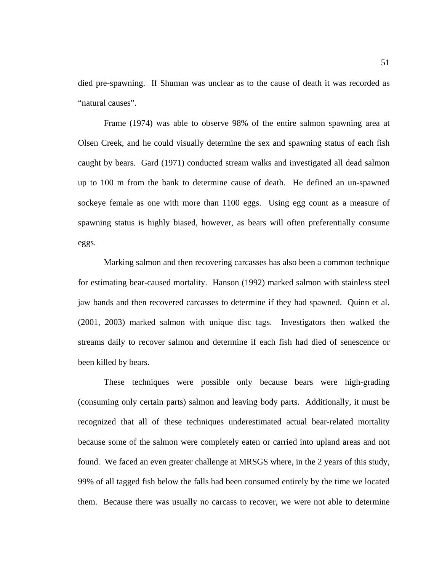died pre-spawning. If Shuman was unclear as to the cause of death it was recorded as "natural causes".

Frame (1974) was able to observe 98% of the entire salmon spawning area at Olsen Creek, and he could visually determine the sex and spawning status of each fish caught by bears. Gard (1971) conducted stream walks and investigated all dead salmon up to 100 m from the bank to determine cause of death. He defined an un-spawned sockeye female as one with more than 1100 eggs. Using egg count as a measure of spawning status is highly biased, however, as bears will often preferentially consume eggs.

Marking salmon and then recovering carcasses has also been a common technique for estimating bear-caused mortality. Hanson (1992) marked salmon with stainless steel jaw bands and then recovered carcasses to determine if they had spawned. Quinn et al. (2001, 2003) marked salmon with unique disc tags. Investigators then walked the streams daily to recover salmon and determine if each fish had died of senescence or been killed by bears.

These techniques were possible only because bears were high-grading (consuming only certain parts) salmon and leaving body parts. Additionally, it must be recognized that all of these techniques underestimated actual bear-related mortality because some of the salmon were completely eaten or carried into upland areas and not found. We faced an even greater challenge at MRSGS where, in the 2 years of this study, 99% of all tagged fish below the falls had been consumed entirely by the time we located them. Because there was usually no carcass to recover, we were not able to determine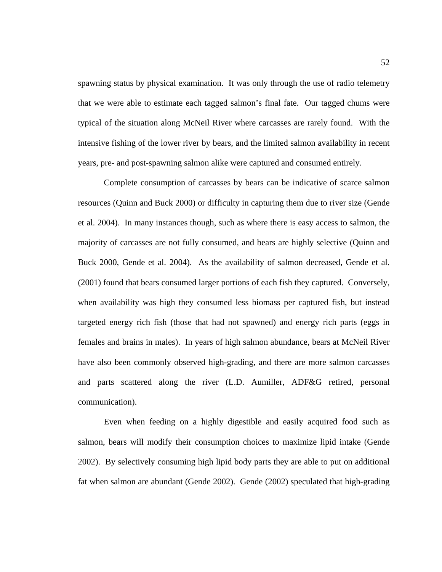spawning status by physical examination. It was only through the use of radio telemetry that we were able to estimate each tagged salmon's final fate. Our tagged chums were typical of the situation along McNeil River where carcasses are rarely found. With the intensive fishing of the lower river by bears, and the limited salmon availability in recent years, pre- and post-spawning salmon alike were captured and consumed entirely.

Complete consumption of carcasses by bears can be indicative of scarce salmon resources (Quinn and Buck 2000) or difficulty in capturing them due to river size (Gende et al. 2004). In many instances though, such as where there is easy access to salmon, the majority of carcasses are not fully consumed, and bears are highly selective (Quinn and Buck 2000, Gende et al. 2004). As the availability of salmon decreased, Gende et al. (2001) found that bears consumed larger portions of each fish they captured. Conversely, when availability was high they consumed less biomass per captured fish, but instead targeted energy rich fish (those that had not spawned) and energy rich parts (eggs in females and brains in males). In years of high salmon abundance, bears at McNeil River have also been commonly observed high-grading, and there are more salmon carcasses and parts scattered along the river (L.D. Aumiller, ADF&G retired, personal communication).

Even when feeding on a highly digestible and easily acquired food such as salmon, bears will modify their consumption choices to maximize lipid intake (Gende 2002). By selectively consuming high lipid body parts they are able to put on additional fat when salmon are abundant (Gende 2002). Gende (2002) speculated that high-grading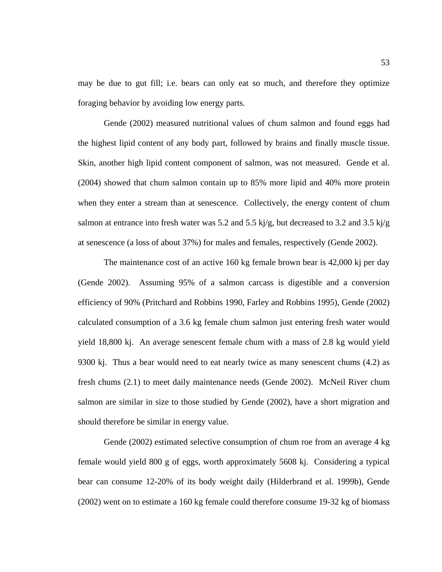may be due to gut fill; i.e. bears can only eat so much, and therefore they optimize foraging behavior by avoiding low energy parts.

Gende (2002) measured nutritional values of chum salmon and found eggs had the highest lipid content of any body part, followed by brains and finally muscle tissue. Skin, another high lipid content component of salmon, was not measured. Gende et al. (2004) showed that chum salmon contain up to 85% more lipid and 40% more protein when they enter a stream than at senescence. Collectively, the energy content of chum salmon at entrance into fresh water was 5.2 and 5.5 kj/g, but decreased to 3.2 and 3.5 kj/g at senescence (a loss of about 37%) for males and females, respectively (Gende 2002).

The maintenance cost of an active 160 kg female brown bear is 42,000 kj per day (Gende 2002). Assuming 95% of a salmon carcass is digestible and a conversion efficiency of 90% (Pritchard and Robbins 1990, Farley and Robbins 1995), Gende (2002) calculated consumption of a 3.6 kg female chum salmon just entering fresh water would yield 18,800 kj. An average senescent female chum with a mass of 2.8 kg would yield 9300 kj. Thus a bear would need to eat nearly twice as many senescent chums (4.2) as fresh chums (2.1) to meet daily maintenance needs (Gende 2002). McNeil River chum salmon are similar in size to those studied by Gende (2002), have a short migration and should therefore be similar in energy value.

Gende (2002) estimated selective consumption of chum roe from an average 4 kg female would yield 800 g of eggs, worth approximately 5608 kj. Considering a typical bear can consume 12-20% of its body weight daily (Hilderbrand et al. 1999b), Gende (2002) went on to estimate a 160 kg female could therefore consume 19-32 kg of biomass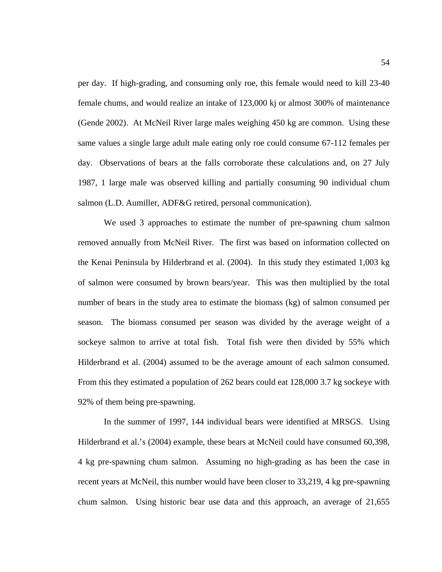per day. If high-grading, and consuming only roe, this female would need to kill 23-40 female chums, and would realize an intake of 123,000 kj or almost 300% of maintenance (Gende 2002). At McNeil River large males weighing 450 kg are common. Using these same values a single large adult male eating only roe could consume 67-112 females per day. Observations of bears at the falls corroborate these calculations and, on 27 July 1987, 1 large male was observed killing and partially consuming 90 individual chum salmon (L.D. Aumiller, ADF&G retired, personal communication).

We used 3 approaches to estimate the number of pre-spawning chum salmon removed annually from McNeil River. The first was based on information collected on the Kenai Peninsula by Hilderbrand et al. (2004). In this study they estimated 1,003 kg of salmon were consumed by brown bears/year. This was then multiplied by the total number of bears in the study area to estimate the biomass (kg) of salmon consumed per season. The biomass consumed per season was divided by the average weight of a sockeye salmon to arrive at total fish. Total fish were then divided by 55% which Hilderbrand et al. (2004) assumed to be the average amount of each salmon consumed. From this they estimated a population of 262 bears could eat 128,000 3.7 kg sockeye with 92% of them being pre-spawning.

In the summer of 1997, 144 individual bears were identified at MRSGS. Using Hilderbrand et al.'s (2004) example, these bears at McNeil could have consumed 60,398, 4 kg pre-spawning chum salmon. Assuming no high-grading as has been the case in recent years at McNeil, this number would have been closer to 33,219, 4 kg pre-spawning chum salmon. Using historic bear use data and this approach, an average of 21,655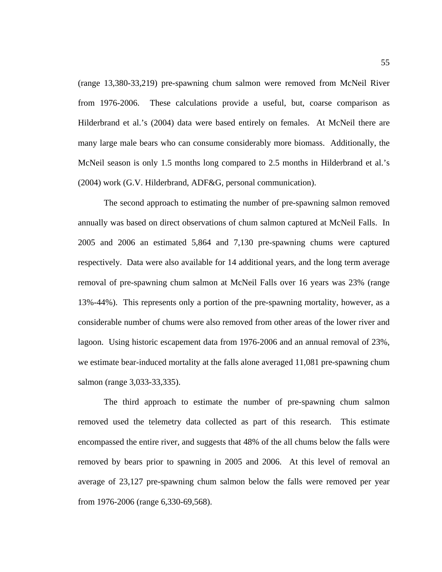(range 13,380-33,219) pre-spawning chum salmon were removed from McNeil River from 1976-2006. These calculations provide a useful, but, coarse comparison as Hilderbrand et al.'s (2004) data were based entirely on females. At McNeil there are many large male bears who can consume considerably more biomass. Additionally, the McNeil season is only 1.5 months long compared to 2.5 months in Hilderbrand et al.'s (2004) work (G.V. Hilderbrand, ADF&G, personal communication).

The second approach to estimating the number of pre-spawning salmon removed annually was based on direct observations of chum salmon captured at McNeil Falls. In 2005 and 2006 an estimated 5,864 and 7,130 pre-spawning chums were captured respectively. Data were also available for 14 additional years, and the long term average removal of pre-spawning chum salmon at McNeil Falls over 16 years was 23% (range 13%-44%). This represents only a portion of the pre-spawning mortality, however, as a considerable number of chums were also removed from other areas of the lower river and lagoon. Using historic escapement data from 1976-2006 and an annual removal of 23%, we estimate bear-induced mortality at the falls alone averaged 11,081 pre-spawning chum salmon (range 3,033-33,335).

The third approach to estimate the number of pre-spawning chum salmon removed used the telemetry data collected as part of this research. This estimate encompassed the entire river, and suggests that 48% of the all chums below the falls were removed by bears prior to spawning in 2005 and 2006. At this level of removal an average of 23,127 pre-spawning chum salmon below the falls were removed per year from 1976-2006 (range 6,330-69,568).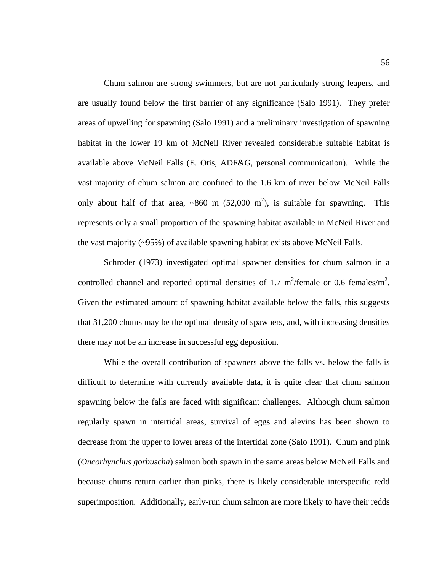Chum salmon are strong swimmers, but are not particularly strong leapers, and are usually found below the first barrier of any significance (Salo 1991). They prefer areas of upwelling for spawning (Salo 1991) and a preliminary investigation of spawning habitat in the lower 19 km of McNeil River revealed considerable suitable habitat is available above McNeil Falls (E. Otis, ADF&G, personal communication). While the vast majority of chum salmon are confined to the 1.6 km of river below McNeil Falls only about half of that area,  $\sim 860$  m (52,000 m<sup>2</sup>), is suitable for spawning. This represents only a small proportion of the spawning habitat available in McNeil River and the vast majority (~95%) of available spawning habitat exists above McNeil Falls.

Schroder (1973) investigated optimal spawner densities for chum salmon in a controlled channel and reported optimal densities of 1.7  $m^2$ /female or 0.6 females/ $m^2$ . Given the estimated amount of spawning habitat available below the falls, this suggests that 31,200 chums may be the optimal density of spawners, and, with increasing densities there may not be an increase in successful egg deposition.

While the overall contribution of spawners above the falls vs. below the falls is difficult to determine with currently available data, it is quite clear that chum salmon spawning below the falls are faced with significant challenges. Although chum salmon regularly spawn in intertidal areas, survival of eggs and alevins has been shown to decrease from the upper to lower areas of the intertidal zone (Salo 1991). Chum and pink (*Oncorhynchus gorbuscha*) salmon both spawn in the same areas below McNeil Falls and because chums return earlier than pinks, there is likely considerable interspecific redd superimposition. Additionally, early-run chum salmon are more likely to have their redds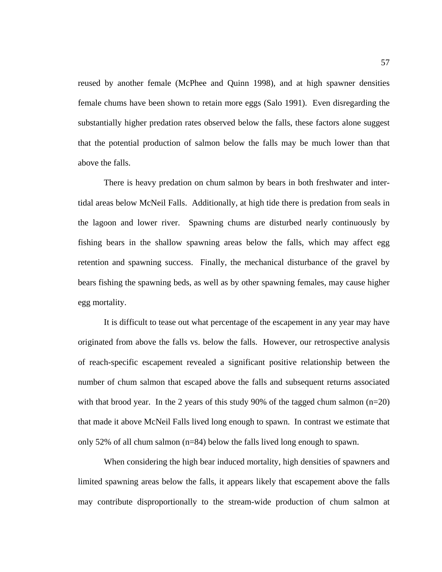reused by another female (McPhee and Quinn 1998), and at high spawner densities female chums have been shown to retain more eggs (Salo 1991). Even disregarding the substantially higher predation rates observed below the falls, these factors alone suggest that the potential production of salmon below the falls may be much lower than that above the falls.

There is heavy predation on chum salmon by bears in both freshwater and intertidal areas below McNeil Falls. Additionally, at high tide there is predation from seals in the lagoon and lower river. Spawning chums are disturbed nearly continuously by fishing bears in the shallow spawning areas below the falls, which may affect egg retention and spawning success. Finally, the mechanical disturbance of the gravel by bears fishing the spawning beds, as well as by other spawning females, may cause higher egg mortality.

It is difficult to tease out what percentage of the escapement in any year may have originated from above the falls vs. below the falls. However, our retrospective analysis of reach-specific escapement revealed a significant positive relationship between the number of chum salmon that escaped above the falls and subsequent returns associated with that brood year. In the 2 years of this study 90% of the tagged chum salmon  $(n=20)$ that made it above McNeil Falls lived long enough to spawn. In contrast we estimate that only 52% of all chum salmon (n=84) below the falls lived long enough to spawn.

When considering the high bear induced mortality, high densities of spawners and limited spawning areas below the falls, it appears likely that escapement above the falls may contribute disproportionally to the stream-wide production of chum salmon at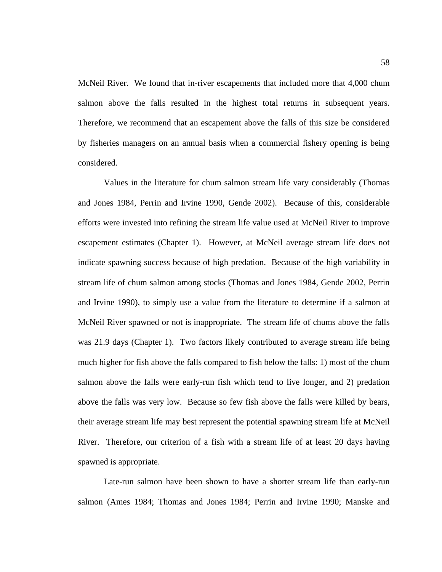McNeil River. We found that in-river escapements that included more that 4,000 chum salmon above the falls resulted in the highest total returns in subsequent years. Therefore, we recommend that an escapement above the falls of this size be considered by fisheries managers on an annual basis when a commercial fishery opening is being considered.

Values in the literature for chum salmon stream life vary considerably (Thomas and Jones 1984, Perrin and Irvine 1990, Gende 2002). Because of this, considerable efforts were invested into refining the stream life value used at McNeil River to improve escapement estimates (Chapter 1). However, at McNeil average stream life does not indicate spawning success because of high predation. Because of the high variability in stream life of chum salmon among stocks (Thomas and Jones 1984, Gende 2002, Perrin and Irvine 1990), to simply use a value from the literature to determine if a salmon at McNeil River spawned or not is inappropriate. The stream life of chums above the falls was 21.9 days (Chapter 1). Two factors likely contributed to average stream life being much higher for fish above the falls compared to fish below the falls: 1) most of the chum salmon above the falls were early-run fish which tend to live longer, and 2) predation above the falls was very low. Because so few fish above the falls were killed by bears, their average stream life may best represent the potential spawning stream life at McNeil River. Therefore, our criterion of a fish with a stream life of at least 20 days having spawned is appropriate.

Late-run salmon have been shown to have a shorter stream life than early-run salmon (Ames 1984; Thomas and Jones 1984; Perrin and Irvine 1990; Manske and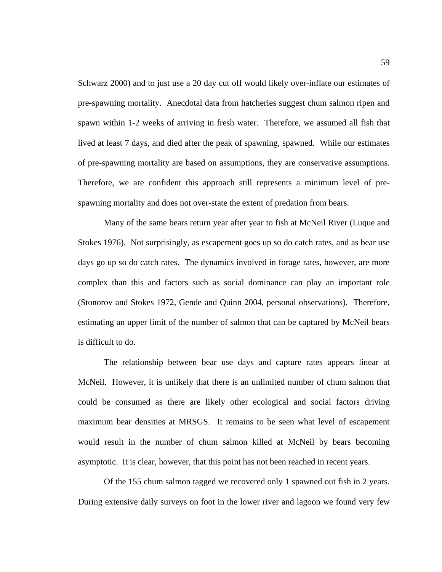Schwarz 2000) and to just use a 20 day cut off would likely over-inflate our estimates of pre-spawning mortality. Anecdotal data from hatcheries suggest chum salmon ripen and spawn within 1-2 weeks of arriving in fresh water. Therefore, we assumed all fish that lived at least 7 days, and died after the peak of spawning, spawned. While our estimates of pre-spawning mortality are based on assumptions, they are conservative assumptions. Therefore, we are confident this approach still represents a minimum level of prespawning mortality and does not over-state the extent of predation from bears.

Many of the same bears return year after year to fish at McNeil River (Luque and Stokes 1976). Not surprisingly, as escapement goes up so do catch rates, and as bear use days go up so do catch rates. The dynamics involved in forage rates, however, are more complex than this and factors such as social dominance can play an important role (Stonorov and Stokes 1972, Gende and Quinn 2004, personal observations). Therefore, estimating an upper limit of the number of salmon that can be captured by McNeil bears is difficult to do.

The relationship between bear use days and capture rates appears linear at McNeil. However, it is unlikely that there is an unlimited number of chum salmon that could be consumed as there are likely other ecological and social factors driving maximum bear densities at MRSGS. It remains to be seen what level of escapement would result in the number of chum salmon killed at McNeil by bears becoming asymptotic. It is clear, however, that this point has not been reached in recent years.

Of the 155 chum salmon tagged we recovered only 1 spawned out fish in 2 years. During extensive daily surveys on foot in the lower river and lagoon we found very few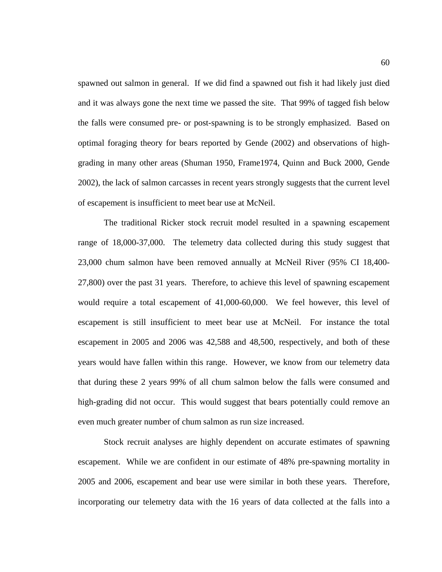spawned out salmon in general. If we did find a spawned out fish it had likely just died and it was always gone the next time we passed the site. That 99% of tagged fish below the falls were consumed pre- or post-spawning is to be strongly emphasized. Based on optimal foraging theory for bears reported by Gende (2002) and observations of highgrading in many other areas (Shuman 1950, Frame1974, Quinn and Buck 2000, Gende 2002), the lack of salmon carcasses in recent years strongly suggests that the current level of escapement is insufficient to meet bear use at McNeil.

The traditional Ricker stock recruit model resulted in a spawning escapement range of 18,000-37,000. The telemetry data collected during this study suggest that 23,000 chum salmon have been removed annually at McNeil River (95% CI 18,400- 27,800) over the past 31 years. Therefore, to achieve this level of spawning escapement would require a total escapement of 41,000-60,000. We feel however, this level of escapement is still insufficient to meet bear use at McNeil. For instance the total escapement in 2005 and 2006 was 42,588 and 48,500, respectively, and both of these years would have fallen within this range. However, we know from our telemetry data that during these 2 years 99% of all chum salmon below the falls were consumed and high-grading did not occur. This would suggest that bears potentially could remove an even much greater number of chum salmon as run size increased.

Stock recruit analyses are highly dependent on accurate estimates of spawning escapement. While we are confident in our estimate of 48% pre-spawning mortality in 2005 and 2006, escapement and bear use were similar in both these years. Therefore, incorporating our telemetry data with the 16 years of data collected at the falls into a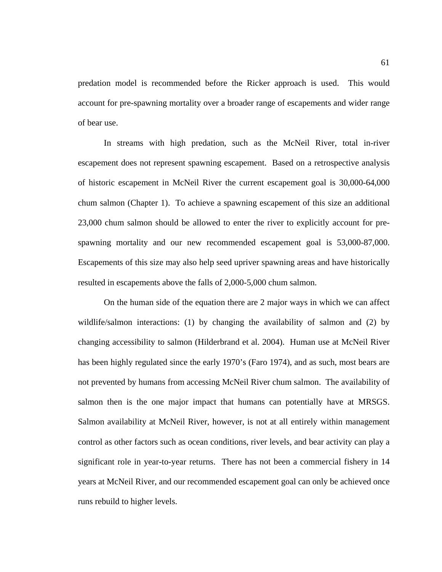predation model is recommended before the Ricker approach is used. This would account for pre-spawning mortality over a broader range of escapements and wider range of bear use.

In streams with high predation, such as the McNeil River, total in-river escapement does not represent spawning escapement. Based on a retrospective analysis of historic escapement in McNeil River the current escapement goal is 30,000-64,000 chum salmon (Chapter 1). To achieve a spawning escapement of this size an additional 23,000 chum salmon should be allowed to enter the river to explicitly account for prespawning mortality and our new recommended escapement goal is 53,000-87,000. Escapements of this size may also help seed upriver spawning areas and have historically resulted in escapements above the falls of 2,000-5,000 chum salmon.

 On the human side of the equation there are 2 major ways in which we can affect wildlife/salmon interactions: (1) by changing the availability of salmon and (2) by changing accessibility to salmon (Hilderbrand et al. 2004). Human use at McNeil River has been highly regulated since the early 1970's (Faro 1974), and as such, most bears are not prevented by humans from accessing McNeil River chum salmon. The availability of salmon then is the one major impact that humans can potentially have at MRSGS. Salmon availability at McNeil River, however, is not at all entirely within management control as other factors such as ocean conditions, river levels, and bear activity can play a significant role in year-to-year returns. There has not been a commercial fishery in 14 years at McNeil River, and our recommended escapement goal can only be achieved once runs rebuild to higher levels.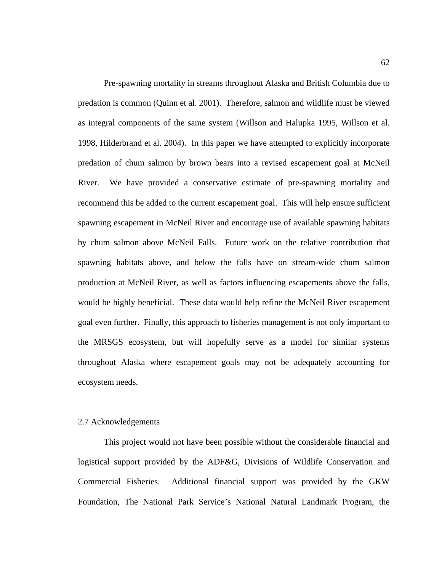Pre-spawning mortality in streams throughout Alaska and British Columbia due to predation is common (Quinn et al. 2001). Therefore, salmon and wildlife must be viewed as integral components of the same system (Willson and Halupka 1995, Willson et al. 1998, Hilderbrand et al. 2004). In this paper we have attempted to explicitly incorporate predation of chum salmon by brown bears into a revised escapement goal at McNeil River. We have provided a conservative estimate of pre-spawning mortality and recommend this be added to the current escapement goal. This will help ensure sufficient spawning escapement in McNeil River and encourage use of available spawning habitats by chum salmon above McNeil Falls. Future work on the relative contribution that spawning habitats above, and below the falls have on stream-wide chum salmon production at McNeil River, as well as factors influencing escapements above the falls, would be highly beneficial. These data would help refine the McNeil River escapement goal even further. Finally, this approach to fisheries management is not only important to the MRSGS ecosystem, but will hopefully serve as a model for similar systems throughout Alaska where escapement goals may not be adequately accounting for ecosystem needs.

#### 2.7 Acknowledgements

This project would not have been possible without the considerable financial and logistical support provided by the ADF&G, Divisions of Wildlife Conservation and Commercial Fisheries. Additional financial support was provided by the GKW Foundation, The National Park Service's National Natural Landmark Program, the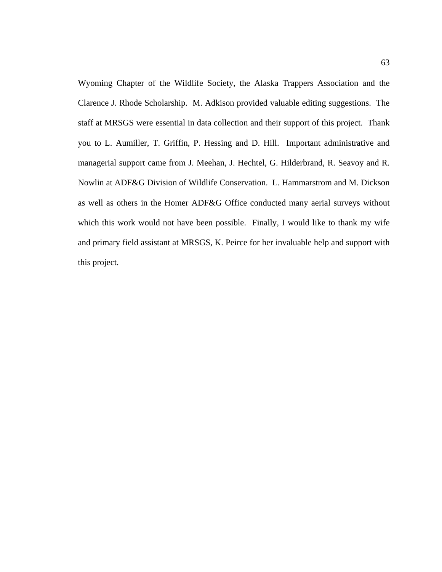Wyoming Chapter of the Wildlife Society, the Alaska Trappers Association and the Clarence J. Rhode Scholarship. M. Adkison provided valuable editing suggestions. The staff at MRSGS were essential in data collection and their support of this project. Thank you to L. Aumiller, T. Griffin, P. Hessing and D. Hill. Important administrative and managerial support came from J. Meehan, J. Hechtel, G. Hilderbrand, R. Seavoy and R. Nowlin at ADF&G Division of Wildlife Conservation. L. Hammarstrom and M. Dickson as well as others in the Homer ADF&G Office conducted many aerial surveys without which this work would not have been possible. Finally, I would like to thank my wife and primary field assistant at MRSGS, K. Peirce for her invaluable help and support with this project.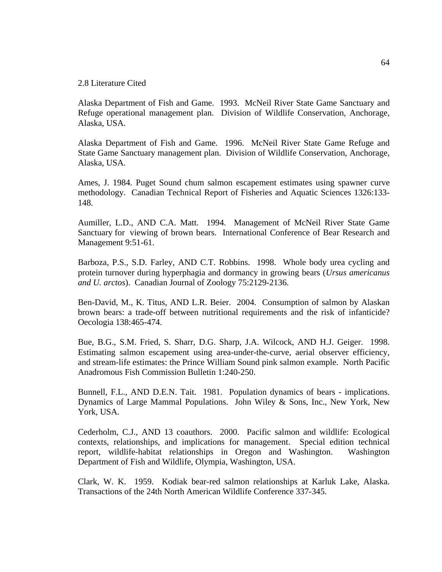### 2.8 Literature Cited

Alaska Department of Fish and Game. 1993. McNeil River State Game Sanctuary and Refuge operational management plan. Division of Wildlife Conservation, Anchorage, Alaska, USA.

Alaska Department of Fish and Game. 1996. McNeil River State Game Refuge and State Game Sanctuary management plan. Division of Wildlife Conservation, Anchorage, Alaska, USA.

Ames, J. 1984. Puget Sound chum salmon escapement estimates using spawner curve methodology. Canadian Technical Report of Fisheries and Aquatic Sciences 1326:133- 148.

Aumiller, L.D., AND C.A. Matt. 1994. Management of McNeil River State Game Sanctuary for viewing of brown bears. International Conference of Bear Research and Management 9:51-61.

Barboza, P.S., S.D. Farley, AND C.T. Robbins. 1998. Whole body urea cycling and protein turnover during hyperphagia and dormancy in growing bears (*Ursus americanus and U. arctos*). Canadian Journal of Zoology 75:2129-2136.

Ben-David, M., K. Titus, AND L.R. Beier. 2004. Consumption of salmon by Alaskan brown bears: a trade-off between nutritional requirements and the risk of infanticide? Oecologia 138:465-474.

Bue, B.G., S.M. Fried, S. Sharr, D.G. Sharp, J.A. Wilcock, AND H.J. Geiger. 1998. Estimating salmon escapement using area-under-the-curve, aerial observer efficiency, and stream-life estimates: the Prince William Sound pink salmon example. North Pacific Anadromous Fish Commission Bulletin 1:240-250.

Bunnell, F.L., AND D.E.N. Tait. 1981. Population dynamics of bears - implications. Dynamics of Large Mammal Populations. John Wiley & Sons, Inc., New York, New York, USA.

Cederholm, C.J., AND 13 coauthors. 2000. Pacific salmon and wildlife: Ecological contexts, relationships, and implications for management. Special edition technical report, wildlife-habitat relationships in Oregon and Washington. Washington Department of Fish and Wildlife, Olympia, Washington, USA.

Clark, W. K. 1959. Kodiak bear-red salmon relationships at Karluk Lake, Alaska. Transactions of the 24th North American Wildlife Conference 337-345.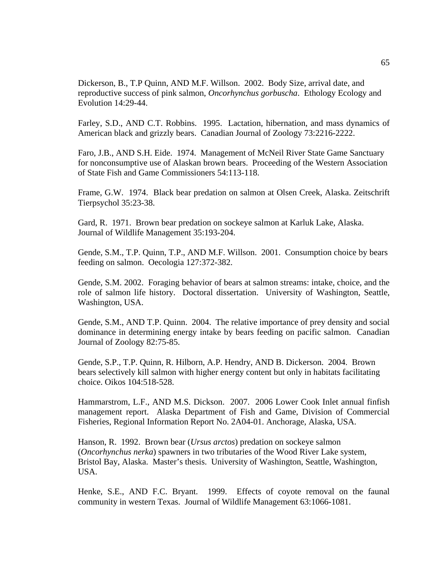Dickerson, B., T.P Quinn, AND M.F. Willson. 2002. Body Size, arrival date, and reproductive success of pink salmon, *Oncorhynchus gorbuscha*. Ethology Ecology and Evolution 14:29-44.

Farley, S.D., AND C.T. Robbins. 1995. Lactation, hibernation, and mass dynamics of American black and grizzly bears. Canadian Journal of Zoology 73:2216-2222.

Faro, J.B., AND S.H. Eide. 1974. Management of McNeil River State Game Sanctuary for nonconsumptive use of Alaskan brown bears. Proceeding of the Western Association of State Fish and Game Commissioners 54:113-118.

Frame, G.W. 1974. Black bear predation on salmon at Olsen Creek, Alaska. Zeitschrift Tierpsychol 35:23-38.

Gard, R. 1971. Brown bear predation on sockeye salmon at Karluk Lake, Alaska. Journal of Wildlife Management 35:193-204.

Gende, S.M., T.P. Quinn, T.P., AND M.F. Willson. 2001. Consumption choice by bears feeding on salmon. Oecologia 127:372-382.

Gende, S.M. 2002. Foraging behavior of bears at salmon streams: intake, choice, and the role of salmon life history. Doctoral dissertation. University of Washington, Seattle, Washington, USA.

Gende, S.M., AND T.P. Quinn. 2004. The relative importance of prey density and social dominance in determining energy intake by bears feeding on pacific salmon. Canadian Journal of Zoology 82:75-85.

Gende, S.P., T.P. Quinn, R. Hilborn, A.P. Hendry, AND B. Dickerson. 2004. Brown bears selectively kill salmon with higher energy content but only in habitats facilitating choice. Oikos 104:518-528.

Hammarstrom, L.F., AND M.S. Dickson. 2007. 2006 Lower Cook Inlet annual finfish management report. Alaska Department of Fish and Game, Division of Commercial Fisheries, Regional Information Report No. 2A04-01. Anchorage, Alaska, USA.

Hanson, R. 1992. Brown bear (*Ursus arctos*) predation on sockeye salmon (*Oncorhynchus nerka*) spawners in two tributaries of the Wood River Lake system, Bristol Bay, Alaska. Master's thesis. University of Washington, Seattle, Washington, USA.

Henke, S.E., AND F.C. Bryant. 1999. Effects of coyote removal on the faunal community in western Texas. Journal of Wildlife Management 63:1066-1081.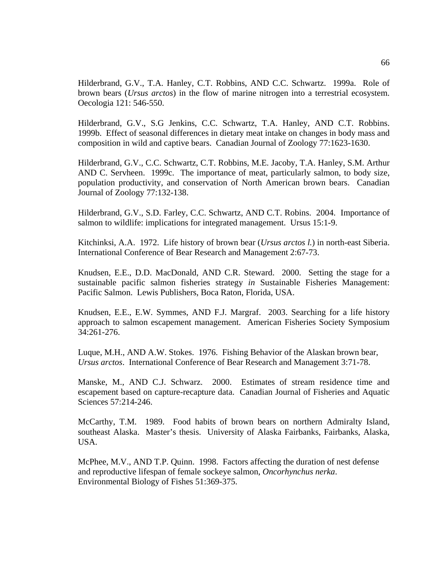Hilderbrand, G.V., T.A. Hanley, C.T. Robbins, AND C.C. Schwartz. 1999a. Role of brown bears (*Ursus arctos*) in the flow of marine nitrogen into a terrestrial ecosystem. Oecologia 121: 546-550.

Hilderbrand, G.V., S.G Jenkins, C.C. Schwartz, T.A. Hanley, AND C.T. Robbins. 1999b. Effect of seasonal differences in dietary meat intake on changes in body mass and composition in wild and captive bears. Canadian Journal of Zoology 77:1623-1630.

Hilderbrand, G.V., C.C. Schwartz, C.T. Robbins, M.E. Jacoby, T.A. Hanley, S.M. Arthur AND C. Servheen. 1999c. The importance of meat, particularly salmon, to body size, population productivity, and conservation of North American brown bears. Canadian Journal of Zoology 77:132-138.

Hilderbrand, G.V., S.D. Farley, C.C. Schwartz, AND C.T. Robins. 2004. Importance of salmon to wildlife: implications for integrated management. Ursus 15:1-9.

Kitchinksi, A.A. 1972. Life history of brown bear (*Ursus arctos l.*) in north-east Siberia. International Conference of Bear Research and Management 2:67-73.

Knudsen, E.E., D.D. MacDonald, AND C.R. Steward. 2000. Setting the stage for a sustainable pacific salmon fisheries strategy *in* Sustainable Fisheries Management: Pacific Salmon. Lewis Publishers, Boca Raton, Florida, USA.

Knudsen, E.E., E.W. Symmes, AND F.J. Margraf. 2003. Searching for a life history approach to salmon escapement management. American Fisheries Society Symposium 34:261-276.

Luque, M.H., AND A.W. Stokes. 1976. Fishing Behavior of the Alaskan brown bear, *Ursus arctos*. International Conference of Bear Research and Management 3:71-78.

Manske, M., AND C.J. Schwarz. 2000. Estimates of stream residence time and escapement based on capture-recapture data. Canadian Journal of Fisheries and Aquatic Sciences 57:214-246.

McCarthy, T.M. 1989. Food habits of brown bears on northern Admiralty Island, southeast Alaska. Master's thesis. University of Alaska Fairbanks, Fairbanks, Alaska, USA.

McPhee, M.V., AND T.P. Quinn. 1998. Factors affecting the duration of nest defense and reproductive lifespan of female sockeye salmon, *Oncorhynchus nerka*. Environmental Biology of Fishes 51:369-375.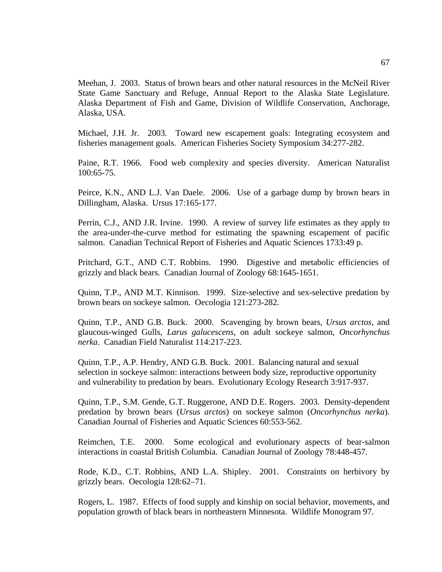Meehan, J. 2003. Status of brown bears and other natural resources in the McNeil River State Game Sanctuary and Refuge, Annual Report to the Alaska State Legislature. Alaska Department of Fish and Game, Division of Wildlife Conservation, Anchorage, Alaska, USA.

Michael, J.H. Jr. 2003. Toward new escapement goals: Integrating ecosystem and fisheries management goals. American Fisheries Society Symposium 34:277-282.

Paine, R.T. 1966. Food web complexity and species diversity. American Naturalist 100:65-75.

Peirce, K.N., AND L.J. Van Daele. 2006. Use of a garbage dump by brown bears in Dillingham, Alaska. Ursus 17:165-177.

Perrin, C.J., AND J.R. Irvine. 1990. A review of survey life estimates as they apply to the area-under-the-curve method for estimating the spawning escapement of pacific salmon. Canadian Technical Report of Fisheries and Aquatic Sciences 1733:49 p.

Pritchard, G.T., AND C.T. Robbins. 1990. Digestive and metabolic efficiencies of grizzly and black bears. Canadian Journal of Zoology 68:1645-1651.

Quinn, T.P., AND M.T. Kinnison. 1999. Size-selective and sex-selective predation by brown bears on sockeye salmon. Oecologia 121:273-282.

Quinn, T.P., AND G.B. Buck. 2000. Scavenging by brown bears, *Ursus arctos*, and glaucous-winged Gulls, *Larus galucescens*, on adult sockeye salmon, *Oncorhynchus nerka*. Canadian Field Naturalist 114:217-223.

Quinn, T.P., A.P. Hendry, AND G.B. Buck. 2001. Balancing natural and sexual selection in sockeye salmon: interactions between body size, reproductive opportunity and vulnerability to predation by bears. Evolutionary Ecology Research 3:917-937.

Quinn, T.P., S.M. Gende, G.T. Ruggerone, AND D.E. Rogers. 2003. Density-dependent predation by brown bears (*Ursus arctos*) on sockeye salmon (*Oncorhynchus nerka*). Canadian Journal of Fisheries and Aquatic Sciences 60:553-562.

Reimchen, T.E. 2000. Some ecological and evolutionary aspects of bear-salmon interactions in coastal British Columbia. Canadian Journal of Zoology 78:448-457.

Rode, K.D., C.T. Robbins, AND L.A. Shipley. 2001. Constraints on herbivory by grizzly bears. Oecologia 128:62–71.

Rogers, L. 1987. Effects of food supply and kinship on social behavior, movements, and population growth of black bears in northeastern Minnesota. Wildlife Monogram 97.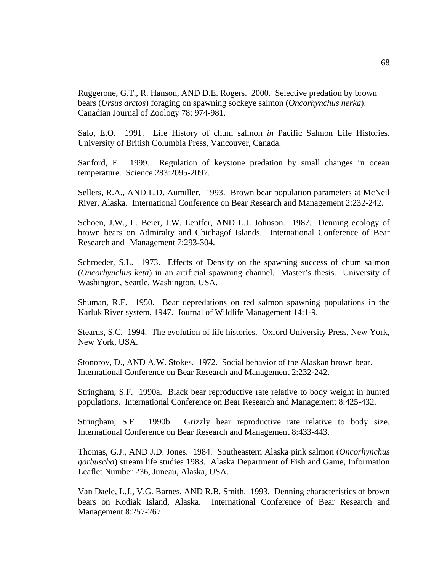Ruggerone, G.T., R. Hanson, AND D.E. Rogers. 2000. Selective predation by brown bears (*Ursus arctos*) foraging on spawning sockeye salmon (*Oncorhynchus nerka*). Canadian Journal of Zoology 78: 974-981.

Salo, E.O. 1991. Life History of chum salmon *in* Pacific Salmon Life Histories. University of British Columbia Press, Vancouver, Canada.

Sanford, E. 1999. Regulation of keystone predation by small changes in ocean temperature. Science 283:2095-2097.

Sellers, R.A., AND L.D. Aumiller. 1993. Brown bear population parameters at McNeil River, Alaska. International Conference on Bear Research and Management 2:232-242.

Schoen, J.W., L. Beier, J.W. Lentfer, AND L.J. Johnson. 1987. Denning ecology of brown bears on Admiralty and Chichagof Islands. International Conference of Bear Research and Management 7:293-304.

Schroeder, S.L. 1973. Effects of Density on the spawning success of chum salmon (*Oncorhynchus keta*) in an artificial spawning channel. Master's thesis. University of Washington, Seattle, Washington, USA.

Shuman, R.F. 1950. Bear depredations on red salmon spawning populations in the Karluk River system, 1947. Journal of Wildlife Management 14:1-9.

Stearns, S.C. 1994. The evolution of life histories. Oxford University Press, New York, New York, USA.

Stonorov, D., AND A.W. Stokes. 1972. Social behavior of the Alaskan brown bear. International Conference on Bear Research and Management 2:232-242.

Stringham, S.F. 1990a. Black bear reproductive rate relative to body weight in hunted populations. International Conference on Bear Research and Management 8:425-432.

Stringham, S.F. 1990b. Grizzly bear reproductive rate relative to body size. International Conference on Bear Research and Management 8:433-443.

Thomas, G.J., AND J.D. Jones. 1984. Southeastern Alaska pink salmon (*Oncorhynchus gorbuscha*) stream life studies 1983. Alaska Department of Fish and Game, Information Leaflet Number 236, Juneau, Alaska, USA.

Van Daele, L.J., V.G. Barnes, AND R.B. Smith. 1993. Denning characteristics of brown bears on Kodiak Island, Alaska. International Conference of Bear Research and Management 8:257-267.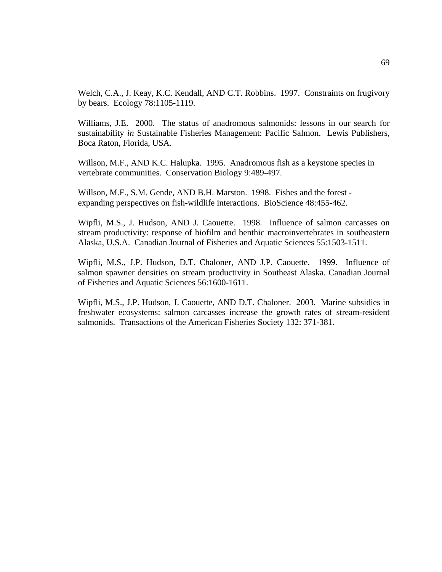Welch, C.A., J. Keay, K.C. Kendall, AND C.T. Robbins. 1997. Constraints on frugivory by bears. Ecology 78:1105-1119.

Williams, J.E. 2000. The status of anadromous salmonids: lessons in our search for sustainability *in* Sustainable Fisheries Management: Pacific Salmon. Lewis Publishers, Boca Raton, Florida, USA.

Willson, M.F., AND K.C. Halupka. 1995. Anadromous fish as a keystone species in vertebrate communities. Conservation Biology 9:489-497.

Willson, M.F., S.M. Gende, AND B.H. Marston. 1998. Fishes and the forest expanding perspectives on fish-wildlife interactions. BioScience 48:455-462.

Wipfli, M.S., J. Hudson, AND J. Caouette. 1998. Influence of salmon carcasses on stream productivity: response of biofilm and benthic macroinvertebrates in southeastern Alaska, U.S.A. Canadian Journal of Fisheries and Aquatic Sciences 55:1503-1511.

Wipfli, M.S., J.P. Hudson, D.T. Chaloner, AND J.P. Caouette. 1999. Influence of salmon spawner densities on stream productivity in Southeast Alaska. Canadian Journal of Fisheries and Aquatic Sciences 56:1600-1611.

Wipfli, M.S., J.P. Hudson, J. Caouette, AND D.T. Chaloner. 2003. Marine subsidies in freshwater ecosystems: salmon carcasses increase the growth rates of stream-resident salmonids. Transactions of the American Fisheries Society 132: 371-381.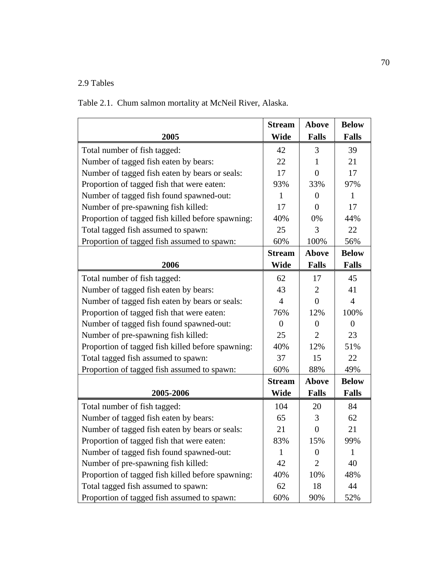## 2.9 Tables

Table 2.1. Chum salmon mortality at McNeil River, Alaska.

|                                                   | <b>Stream</b>  | <b>Above</b>     | <b>Below</b>   |
|---------------------------------------------------|----------------|------------------|----------------|
| 2005                                              | Wide           | <b>Falls</b>     | <b>Falls</b>   |
| Total number of fish tagged:                      | 42             | 3                | 39             |
| Number of tagged fish eaten by bears:             | 22             | 1                | 21             |
| Number of tagged fish eaten by bears or seals:    | 17             | 0                | 17             |
| Proportion of tagged fish that were eaten:        | 93%            | 33%              | 97%            |
| Number of tagged fish found spawned-out:          | 1              | $\Omega$         | $\mathbf{1}$   |
| Number of pre-spawning fish killed:               | 17             | 0                | 17             |
| Proportion of tagged fish killed before spawning: | 40%            | 0%               | 44%            |
| Total tagged fish assumed to spawn:               | 25             | 3                | 22             |
| Proportion of tagged fish assumed to spawn:       | 60%            | 100%             | 56%            |
|                                                   | <b>Stream</b>  | <b>Above</b>     | <b>Below</b>   |
| 2006                                              | Wide           | <b>Falls</b>     | <b>Falls</b>   |
| Total number of fish tagged:                      | 62             | 17               | 45             |
| Number of tagged fish eaten by bears:             | 43             | 2                | 41             |
| Number of tagged fish eaten by bears or seals:    | $\overline{4}$ | $\overline{0}$   | $\overline{4}$ |
| Proportion of tagged fish that were eaten:        | 76%            | 12%              | 100%           |
| Number of tagged fish found spawned-out:          | $\overline{0}$ | $\theta$         | $\theta$       |
| Number of pre-spawning fish killed:               | 25             | 2                | 23             |
| Proportion of tagged fish killed before spawning: | 40%            | 12%              | 51%            |
| Total tagged fish assumed to spawn:               | 37             | 15               | 22             |
| Proportion of tagged fish assumed to spawn:       | 60%            | 88%              | 49%            |
|                                                   | <b>Stream</b>  | <b>Above</b>     | <b>Below</b>   |
| 2005-2006                                         | <b>Wide</b>    | <b>Falls</b>     | <b>Falls</b>   |
| Total number of fish tagged:                      | 104            | 20               | 84             |
| Number of tagged fish eaten by bears:             | 65             | 3                | 62             |
| Number of tagged fish eaten by bears or seals:    | 21             | 0                | 21             |
| Proportion of tagged fish that were eaten:        | 83%            | 15%              | 99%            |
| Number of tagged fish found spawned-out:          | 1              | $\boldsymbol{0}$ | 1              |
| Number of pre-spawning fish killed:               | 42             | 2                | 40             |
| Proportion of tagged fish killed before spawning: | 40%            | 10%              | 48%            |
| Total tagged fish assumed to spawn:               | 62             | 18               | 44             |
| Proportion of tagged fish assumed to spawn:       | 60%            | 90%              | 52%            |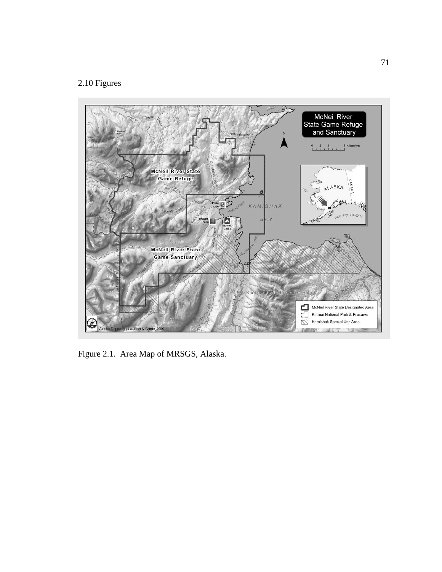# 2.10 Figures



Figure 2.1. Area Map of MRSGS, Alaska.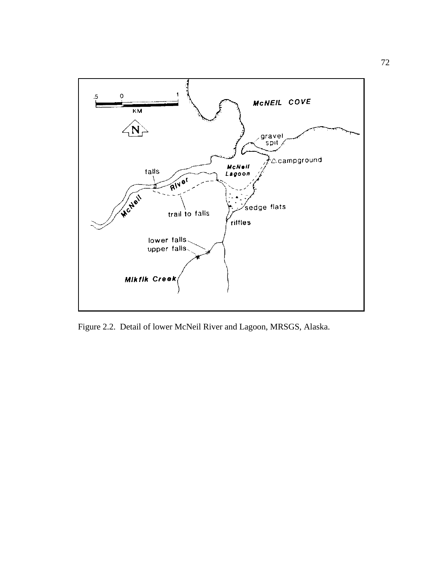

Figure 2.2. Detail of lower McNeil River and Lagoon, MRSGS, Alaska.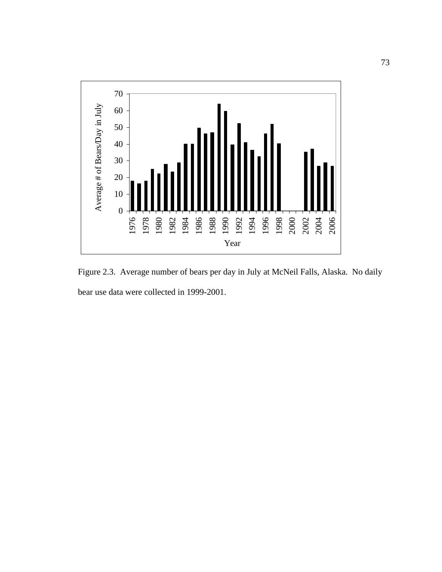

Figure 2.3. Average number of bears per day in July at McNeil Falls, Alaska. No daily bear use data were collected in 1999-2001.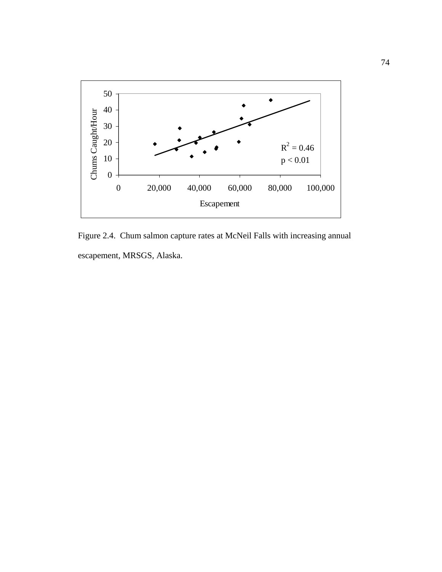

Figure 2.4. Chum salmon capture rates at McNeil Falls with increasing annual escapement, MRSGS, Alaska.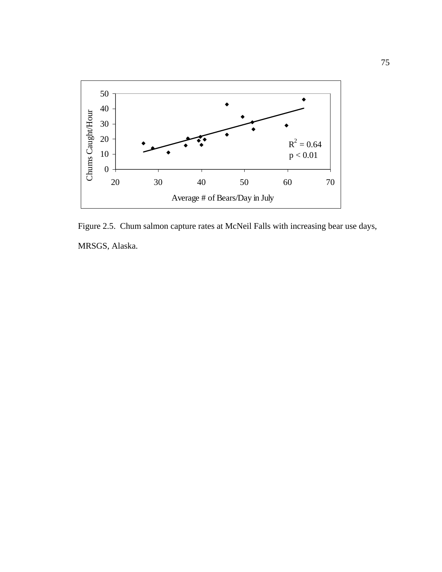

Figure 2.5. Chum salmon capture rates at McNeil Falls with increasing bear use days, MRSGS, Alaska.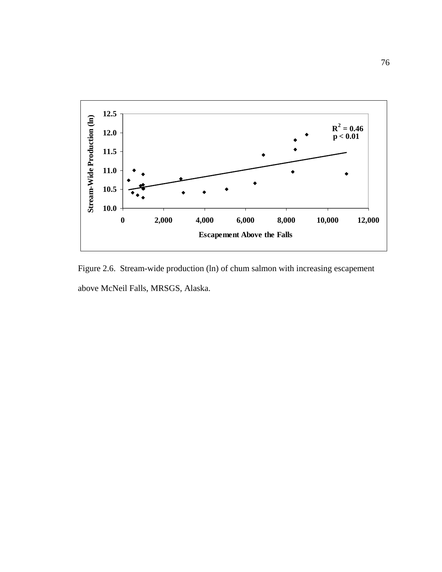

Figure 2.6. Stream-wide production (ln) of chum salmon with increasing escapement above McNeil Falls, MRSGS, Alaska.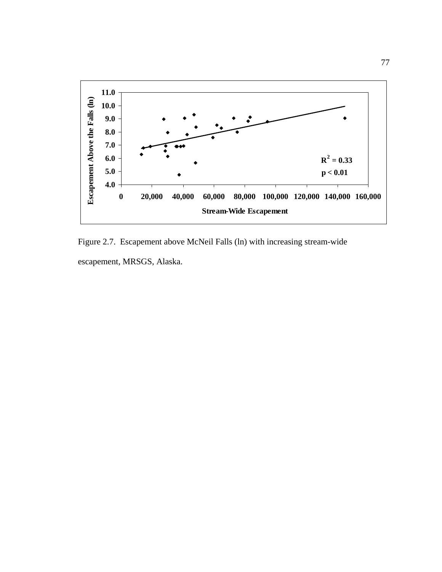

Figure 2.7. Escapement above McNeil Falls (ln) with increasing stream-wide escapement, MRSGS, Alaska.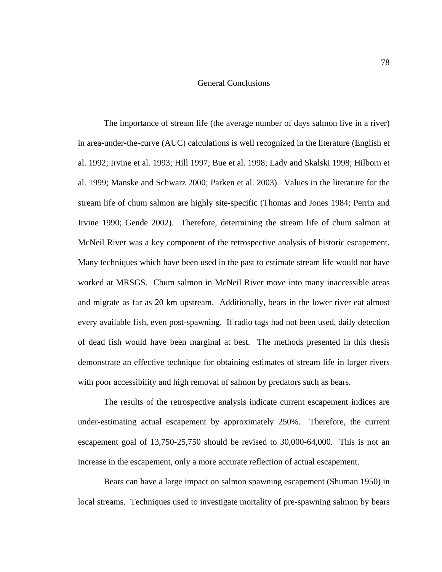### General Conclusions

The importance of stream life (the average number of days salmon live in a river) in area-under-the-curve (AUC) calculations is well recognized in the literature (English et al. 1992; Irvine et al. 1993; Hill 1997; Bue et al. 1998; Lady and Skalski 1998; Hilborn et al. 1999; Manske and Schwarz 2000; Parken et al. 2003). Values in the literature for the stream life of chum salmon are highly site-specific (Thomas and Jones 1984; Perrin and Irvine 1990; Gende 2002). Therefore, determining the stream life of chum salmon at McNeil River was a key component of the retrospective analysis of historic escapement. Many techniques which have been used in the past to estimate stream life would not have worked at MRSGS. Chum salmon in McNeil River move into many inaccessible areas and migrate as far as 20 km upstream. Additionally, bears in the lower river eat almost every available fish, even post-spawning. If radio tags had not been used, daily detection of dead fish would have been marginal at best. The methods presented in this thesis demonstrate an effective technique for obtaining estimates of stream life in larger rivers with poor accessibility and high removal of salmon by predators such as bears.

The results of the retrospective analysis indicate current escapement indices are under-estimating actual escapement by approximately 250%. Therefore, the current escapement goal of 13,750-25,750 should be revised to 30,000-64,000. This is not an increase in the escapement, only a more accurate reflection of actual escapement.

Bears can have a large impact on salmon spawning escapement (Shuman 1950) in local streams. Techniques used to investigate mortality of pre-spawning salmon by bears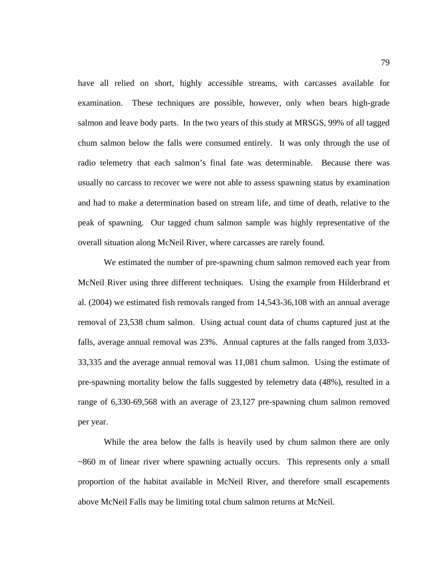have all relied on short, highly accessible streams, with carcasses available for examination. These techniques are possible, however, only when bears high-grade salmon and leave body parts. In the two years of this study at MRSGS, 99% of all tagged chum salmon below the falls were consumed entirely. It was only through the use of radio telemetry that each salmon's final fate was determinable. Because there was usually no carcass to recover we were not able to assess spawning status by examination and had to make a determination based on stream life, and time of death, relative to the peak of spawning. Our tagged chum salmon sample was highly representative of the overall situation along McNeil River, where carcasses are rarely found.

We estimated the number of pre-spawning chum salmon removed each year from McNeil River using three different techniques. Using the example from Hilderbrand et al. (2004) we estimated fish removals ranged from 14,543-36,108 with an annual average removal of 23,538 chum salmon. Using actual count data of chums captured just at the falls, average annual removal was 23%. Annual captures at the falls ranged from 3,033- 33,335 and the average annual removal was 11,081 chum salmon. Using the estimate of pre-spawning mortality below the falls suggested by telemetry data (48%), resulted in a range of 6,330-69,568 with an average of 23,127 pre-spawning chum salmon removed per year.

While the area below the falls is heavily used by chum salmon there are only ~860 m of linear river where spawning actually occurs. This represents only a small proportion of the habitat available in McNeil River, and therefore small escapements above McNeil Falls may be limiting total chum salmon returns at McNeil.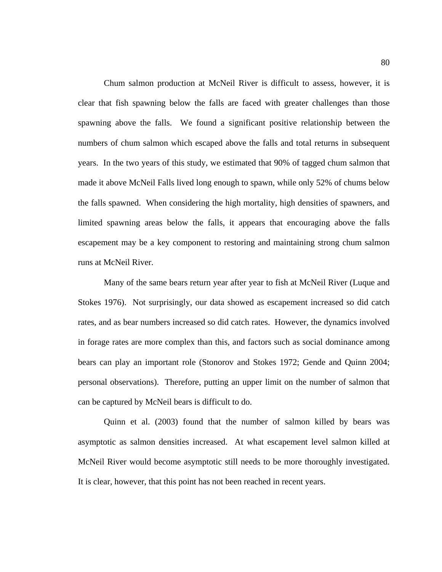Chum salmon production at McNeil River is difficult to assess, however, it is clear that fish spawning below the falls are faced with greater challenges than those spawning above the falls. We found a significant positive relationship between the numbers of chum salmon which escaped above the falls and total returns in subsequent years. In the two years of this study, we estimated that 90% of tagged chum salmon that made it above McNeil Falls lived long enough to spawn, while only 52% of chums below the falls spawned. When considering the high mortality, high densities of spawners, and limited spawning areas below the falls, it appears that encouraging above the falls escapement may be a key component to restoring and maintaining strong chum salmon runs at McNeil River.

Many of the same bears return year after year to fish at McNeil River (Luque and Stokes 1976). Not surprisingly, our data showed as escapement increased so did catch rates, and as bear numbers increased so did catch rates. However, the dynamics involved in forage rates are more complex than this, and factors such as social dominance among bears can play an important role (Stonorov and Stokes 1972; Gende and Quinn 2004; personal observations). Therefore, putting an upper limit on the number of salmon that can be captured by McNeil bears is difficult to do.

Quinn et al. (2003) found that the number of salmon killed by bears was asymptotic as salmon densities increased. At what escapement level salmon killed at McNeil River would become asymptotic still needs to be more thoroughly investigated. It is clear, however, that this point has not been reached in recent years.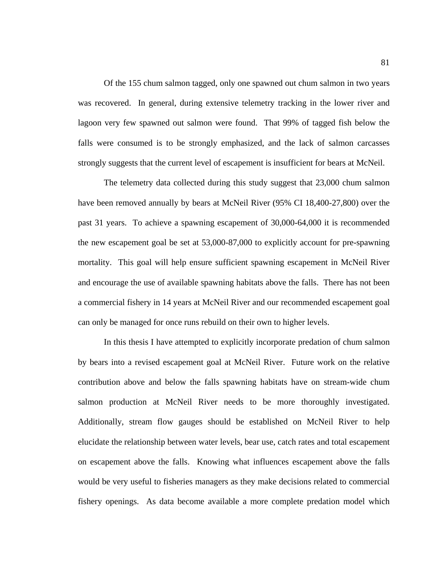Of the 155 chum salmon tagged, only one spawned out chum salmon in two years was recovered. In general, during extensive telemetry tracking in the lower river and lagoon very few spawned out salmon were found. That 99% of tagged fish below the falls were consumed is to be strongly emphasized, and the lack of salmon carcasses strongly suggests that the current level of escapement is insufficient for bears at McNeil.

The telemetry data collected during this study suggest that 23,000 chum salmon have been removed annually by bears at McNeil River (95% CI 18,400-27,800) over the past 31 years. To achieve a spawning escapement of 30,000-64,000 it is recommended the new escapement goal be set at 53,000-87,000 to explicitly account for pre-spawning mortality. This goal will help ensure sufficient spawning escapement in McNeil River and encourage the use of available spawning habitats above the falls. There has not been a commercial fishery in 14 years at McNeil River and our recommended escapement goal can only be managed for once runs rebuild on their own to higher levels.

In this thesis I have attempted to explicitly incorporate predation of chum salmon by bears into a revised escapement goal at McNeil River. Future work on the relative contribution above and below the falls spawning habitats have on stream-wide chum salmon production at McNeil River needs to be more thoroughly investigated. Additionally, stream flow gauges should be established on McNeil River to help elucidate the relationship between water levels, bear use, catch rates and total escapement on escapement above the falls. Knowing what influences escapement above the falls would be very useful to fisheries managers as they make decisions related to commercial fishery openings. As data become available a more complete predation model which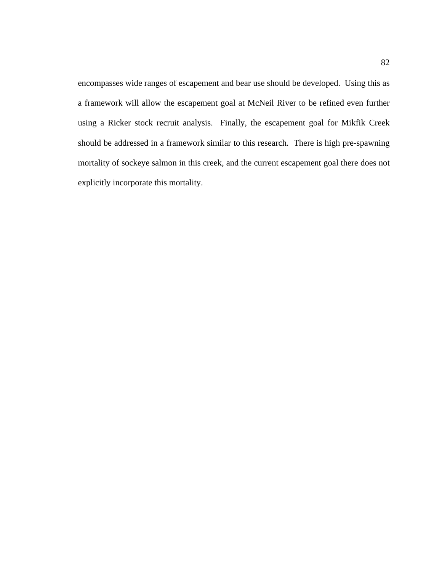encompasses wide ranges of escapement and bear use should be developed. Using this as a framework will allow the escapement goal at McNeil River to be refined even further using a Ricker stock recruit analysis. Finally, the escapement goal for Mikfik Creek should be addressed in a framework similar to this research. There is high pre-spawning mortality of sockeye salmon in this creek, and the current escapement goal there does not explicitly incorporate this mortality.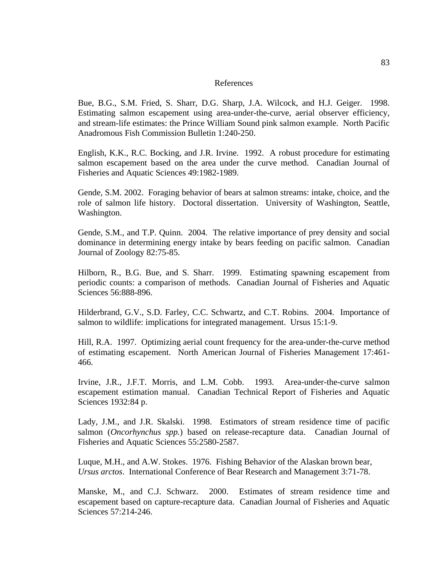#### References

Bue, B.G., S.M. Fried, S. Sharr, D.G. Sharp, J.A. Wilcock, and H.J. Geiger. 1998. Estimating salmon escapement using area-under-the-curve, aerial observer efficiency, and stream-life estimates: the Prince William Sound pink salmon example. North Pacific Anadromous Fish Commission Bulletin 1:240-250.

English, K.K., R.C. Bocking, and J.R. Irvine. 1992. A robust procedure for estimating salmon escapement based on the area under the curve method. Canadian Journal of Fisheries and Aquatic Sciences 49:1982-1989.

Gende, S.M. 2002. Foraging behavior of bears at salmon streams: intake, choice, and the role of salmon life history. Doctoral dissertation. University of Washington, Seattle, Washington.

Gende, S.M., and T.P. Quinn. 2004. The relative importance of prey density and social dominance in determining energy intake by bears feeding on pacific salmon. Canadian Journal of Zoology 82:75-85.

Hilborn, R., B.G. Bue, and S. Sharr. 1999. Estimating spawning escapement from periodic counts: a comparison of methods. Canadian Journal of Fisheries and Aquatic Sciences 56:888-896.

Hilderbrand, G.V., S.D. Farley, C.C. Schwartz, and C.T. Robins. 2004. Importance of salmon to wildlife: implications for integrated management. Ursus 15:1-9.

Hill, R.A. 1997. Optimizing aerial count frequency for the area-under-the-curve method of estimating escapement. North American Journal of Fisheries Management 17:461- 466.

Irvine, J.R., J.F.T. Morris, and L.M. Cobb. 1993. Area-under-the-curve salmon escapement estimation manual. Canadian Technical Report of Fisheries and Aquatic Sciences 1932:84 p.

Lady, J.M., and J.R. Skalski. 1998. Estimators of stream residence time of pacific salmon (*Oncorhynchus spp.*) based on release-recapture data. Canadian Journal of Fisheries and Aquatic Sciences 55:2580-2587.

Luque, M.H., and A.W. Stokes. 1976. Fishing Behavior of the Alaskan brown bear, *Ursus arctos*. International Conference of Bear Research and Management 3:71-78.

Manske, M., and C.J. Schwarz. 2000. Estimates of stream residence time and escapement based on capture-recapture data. Canadian Journal of Fisheries and Aquatic Sciences 57:214-246.